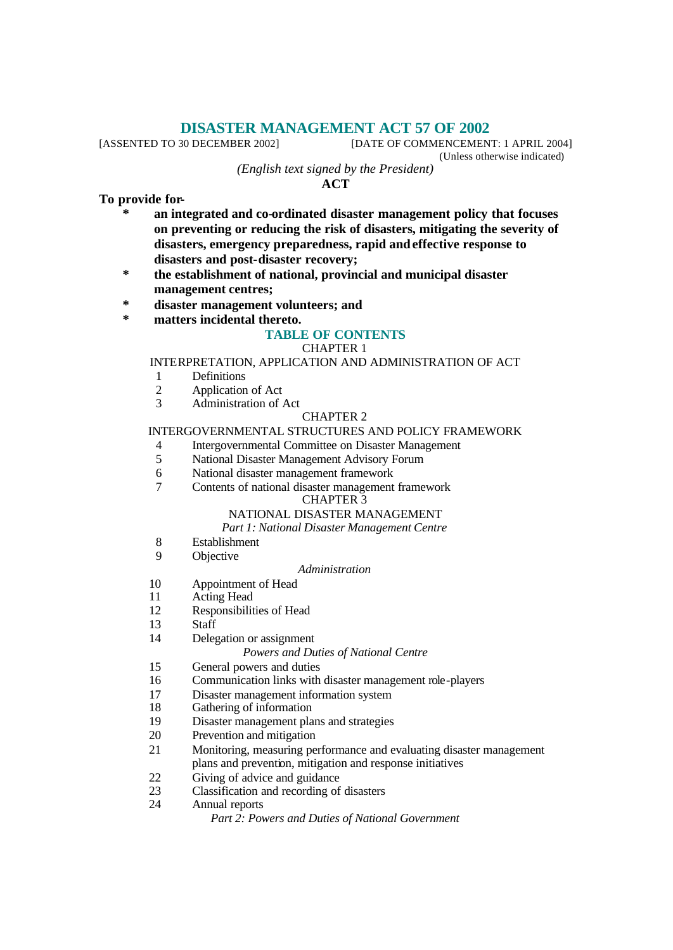# **DISASTER MANAGEMENT ACT 57 OF 2002**<br>[DATE OF COMMENCEMENT]

[DATE OF COMMENCEMENT: 1 APRIL 2004] (Unless otherwise indicated)

*(English text signed by the President)*

**ACT**

**To provide for-**

- **\* an integrated and co-ordinated disaster management policy that focuses on preventing or reducing the risk of disasters, mitigating the severity of disasters, emergency preparedness, rapid and effective response to disasters and post-disaster recovery;**
- **\* the establishment of national, provincial and municipal disaster management centres;**
- **\* disaster management volunteers; and**
- **\* matters incidental thereto.**

# **TABLE OF CONTENTS**

#### CHAPTER 1

#### INTERPRETATION, APPLICATION AND ADMINISTRATION OF ACT

- 1 Definitions
- 2 Application of Act<br>3 Administration of  $\ell$ 
	- Administration of Act

#### CHAPTER 2

#### INTERGOVERNMENTAL STRUCTURES AND POLICY FRAMEWORK

- 4 Intergovernmental Committee on Disaster Management
- 5 National Disaster Management Advisory Forum
- 6 National disaster management framework
- 7 Contents of national disaster management framework

# CHAPTER 3

# NATIONAL DISASTER MANAGEMENT

# *Part 1: National Disaster Management Centre*

- 8 Establishment
- 9 Objective

#### *Administration*

- 10 Appointment of Head
- 11 Acting Head
- 12 Responsibilities of Head
- 13 Staff
- 14 Delegation or assignment

#### *Powers and Duties of National Centre*

- 15 General powers and duties
- 16 Communication links with disaster management role-players
- 17 Disaster management information system
- 18 Gathering of information
- 19 Disaster management plans and strategies
- 20 Prevention and mitigation
- 21 Monitoring, measuring performance and evaluating disaster management plans and prevention, mitigation and response initiatives
- 22 Giving of advice and guidance
- 23 Classification and recording of disasters
- 24 Annual reports

*Part 2: Powers and Duties of National Government*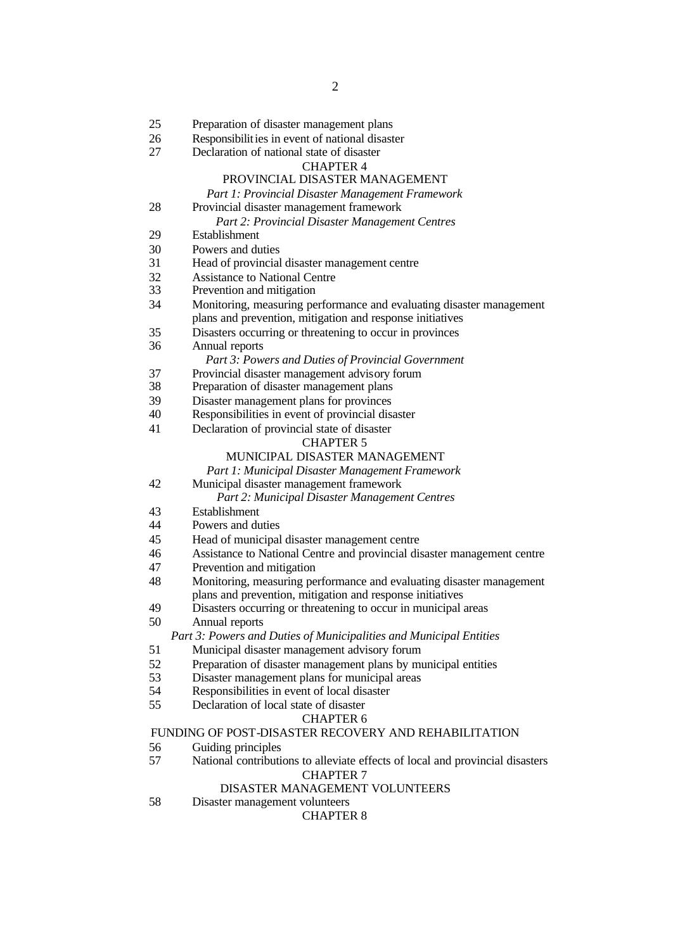| 25                                                   | Preparation of disaster management plans                                      |
|------------------------------------------------------|-------------------------------------------------------------------------------|
| 26                                                   | Responsibilities in event of national disaster                                |
| 27                                                   | Declaration of national state of disaster                                     |
|                                                      | <b>CHAPTER 4</b>                                                              |
|                                                      | PROVINCIAL DISASTER MANAGEMENT                                                |
|                                                      | Part 1: Provincial Disaster Management Framework                              |
| 28                                                   | Provincial disaster management framework                                      |
|                                                      | Part 2: Provincial Disaster Management Centres                                |
| 29                                                   | Establishment                                                                 |
| 30                                                   | Powers and duties                                                             |
| 31                                                   | Head of provincial disaster management centre                                 |
| 32                                                   | <b>Assistance to National Centre</b>                                          |
| 33                                                   | Prevention and mitigation                                                     |
| 34                                                   | Monitoring, measuring performance and evaluating disaster management          |
|                                                      | plans and prevention, mitigation and response initiatives                     |
| 35                                                   | Disasters occurring or threatening to occur in provinces                      |
| 36                                                   | Annual reports                                                                |
|                                                      | Part 3: Powers and Duties of Provincial Government                            |
| 37                                                   | Provincial disaster management advisory forum                                 |
| 38                                                   | Preparation of disaster management plans                                      |
| 39                                                   | Disaster management plans for provinces                                       |
| 40                                                   | Responsibilities in event of provincial disaster                              |
| 41                                                   | Declaration of provincial state of disaster                                   |
|                                                      | <b>CHAPTER 5</b>                                                              |
|                                                      | MUNICIPAL DISASTER MANAGEMENT                                                 |
|                                                      | Part 1: Municipal Disaster Management Framework                               |
| 42                                                   | Municipal disaster management framework                                       |
|                                                      | Part 2: Municipal Disaster Management Centres                                 |
| 43                                                   | Establishment                                                                 |
| 44                                                   | Powers and duties                                                             |
| 45                                                   | Head of municipal disaster management centre                                  |
| 46                                                   | Assistance to National Centre and provincial disaster management centre       |
| 47                                                   | Prevention and mitigation                                                     |
| 48                                                   | Monitoring, measuring performance and evaluating disaster management          |
|                                                      | plans and prevention, mitigation and response initiatives                     |
| 49                                                   | Disasters occurring or threatening to occur in municipal areas                |
| 50                                                   | Annual reports                                                                |
|                                                      | Part 3: Powers and Duties of Municipalities and Municipal Entities            |
| 51                                                   | Municipal disaster management advisory forum                                  |
| 52                                                   | Preparation of disaster management plans by municipal entities                |
| 53                                                   | Disaster management plans for municipal areas                                 |
| 54                                                   | Responsibilities in event of local disaster                                   |
| 55                                                   | Declaration of local state of disaster                                        |
|                                                      | <b>CHAPTER 6</b>                                                              |
| FUNDING OF POST-DISASTER RECOVERY AND REHABILITATION |                                                                               |
| 56                                                   | Guiding principles                                                            |
| 57                                                   | National contributions to alleviate effects of local and provincial disasters |
|                                                      | <b>CHAPTER 7</b>                                                              |
|                                                      | DISASTER MANAGEMENT VOLUNTEERS                                                |
| 58                                                   | Disaster management volunteers                                                |
|                                                      | <b>CHAPTER 8</b>                                                              |
|                                                      |                                                                               |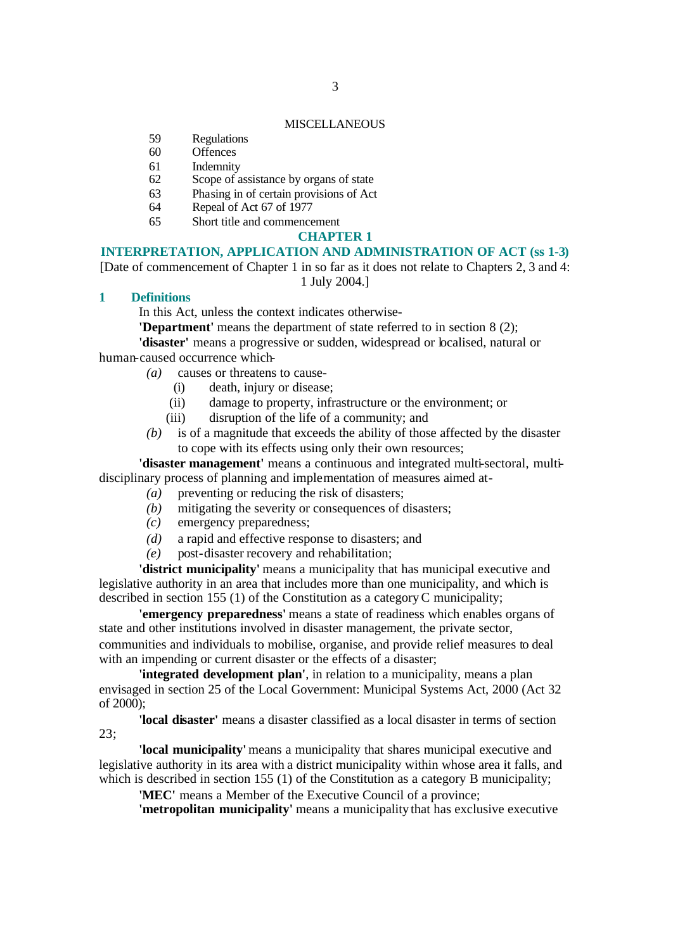#### **MISCELLANEOUS**

- 59 Regulations
- 60 Offences
- 61 Indemnity
- 62 Scope of assistance by organs of state
- 63 Phasing in of certain provisions of Act
- 64 Repeal of Act 67 of 1977
- 65 Short title and commencement

#### **CHAPTER 1**

#### **INTERPRETATION, APPLICATION AND ADMINISTRATION OF ACT (ss 1-3)**

[Date of commencement of Chapter 1 in so far as it does not relate to Chapters 2, 3 and 4: 1 July 2004.]

#### **1 Definitions**

In this Act, unless the context indicates otherwise-

**'Department'** means the department of state referred to in section 8 (2);

**'disaster'** means a progressive or sudden, widespread or localised, natural or human-caused occurrence which-

- *(a)* causes or threatens to cause-
	- (i) death, injury or disease;
	- (ii) damage to property, infrastructure or the environment; or
	- (iii) disruption of the life of a community; and
- *(b)* is of a magnitude that exceeds the ability of those affected by the disaster to cope with its effects using only their own resources;

**'disaster management'** means a continuous and integrated multi-sectoral, multidisciplinary process of planning and implementation of measures aimed at-

- *(a)* preventing or reducing the risk of disasters;
- *(b)* mitigating the severity or consequences of disasters;
- *(c)* emergency preparedness;
- *(d)* a rapid and effective response to disasters; and
- *(e)* post-disaster recovery and rehabilitation;

**'district municipality'** means a municipality that has municipal executive and legislative authority in an area that includes more than one municipality, and which is described in section 155 (1) of the Constitution as a category C municipality;

**'emergency preparedness'** means a state of readiness which enables organs of state and other institutions involved in disaster management, the private sector, communities and individuals to mobilise, organise, and provide relief measures to deal with an impending or current disaster or the effects of a disaster;

**'integrated development plan'**, in relation to a municipality, means a plan envisaged in section 25 of the Local Government: Municipal Systems Act, 2000 (Act 32 of  $2000$ ):

**'local disaster'** means a disaster classified as a local disaster in terms of section 23;

**'local municipality'** means a municipality that shares municipal executive and legislative authority in its area with a district municipality within whose area it falls, and which is described in section 155 (1) of the Constitution as a category B municipality;

**'MEC'** means a Member of the Executive Council of a province;

**'metropolitan municipality'** means a municipality that has exclusive executive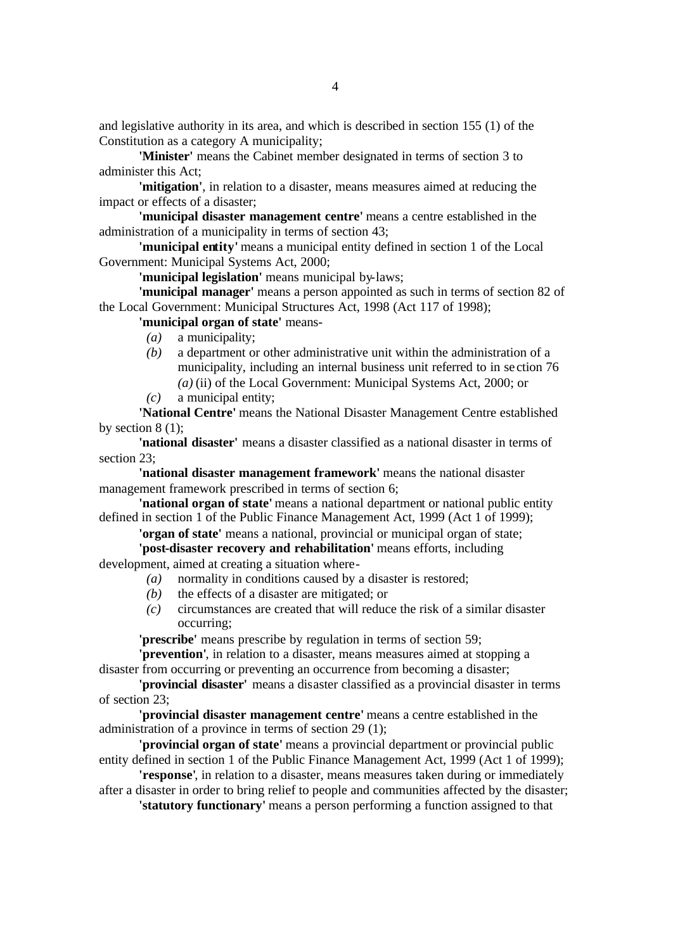and legislative authority in its area, and which is described in section 155 (1) of the Constitution as a category A municipality;

**'Minister'** means the Cabinet member designated in terms of section 3 to administer this Act;

**'mitigation'**, in relation to a disaster, means measures aimed at reducing the impact or effects of a disaster;

**'municipal disaster management centre'** means a centre established in the administration of a municipality in terms of section 43;

**'municipal entity'** means a municipal entity defined in section 1 of the Local Government: Municipal Systems Act, 2000;

**'municipal legislation'** means municipal by-laws;

**'municipal manager'** means a person appointed as such in terms of section 82 of the Local Government: Municipal Structures Act, 1998 (Act 117 of 1998);

**'municipal organ of state'** means-

- *(a)* a municipality;
- *(b)* a department or other administrative unit within the administration of a municipality, including an internal business unit referred to in se ction 76 *(a)* (ii) of the Local Government: Municipal Systems Act, 2000; or
- *(c)* a municipal entity;

**'National Centre'** means the National Disaster Management Centre established by section  $8(1)$ ;

**'national disaster'** means a disaster classified as a national disaster in terms of section 23;

**'national disaster management framework'** means the national disaster management framework prescribed in terms of section 6;

**'national organ of state'** means a national department or national public entity defined in section 1 of the Public Finance Management Act, 1999 (Act 1 of 1999);

**'organ of state'** means a national, provincial or municipal organ of state; **'post-disaster recovery and rehabilitation'** means efforts, including

development, aimed at creating a situation where-

- *(a)* normality in conditions caused by a disaster is restored;
- *(b)* the effects of a disaster are mitigated; or
- *(c)* circumstances are created that will reduce the risk of a similar disaster occurring;

**'prescribe'** means prescribe by regulation in terms of section 59;

**'prevention'**, in relation to a disaster, means measures aimed at stopping a disaster from occurring or preventing an occurrence from becoming a disaster;

**'provincial disaster'** means a disaster classified as a provincial disaster in terms of section 23;

**'provincial disaster management centre'** means a centre established in the administration of a province in terms of section 29 (1);

**'provincial organ of state'** means a provincial department or provincial public entity defined in section 1 of the Public Finance Management Act, 1999 (Act 1 of 1999);

**'response'**, in relation to a disaster, means measures taken during or immediately after a disaster in order to bring relief to people and communities affected by the disaster;

**'statutory functionary'** means a person performing a function assigned to that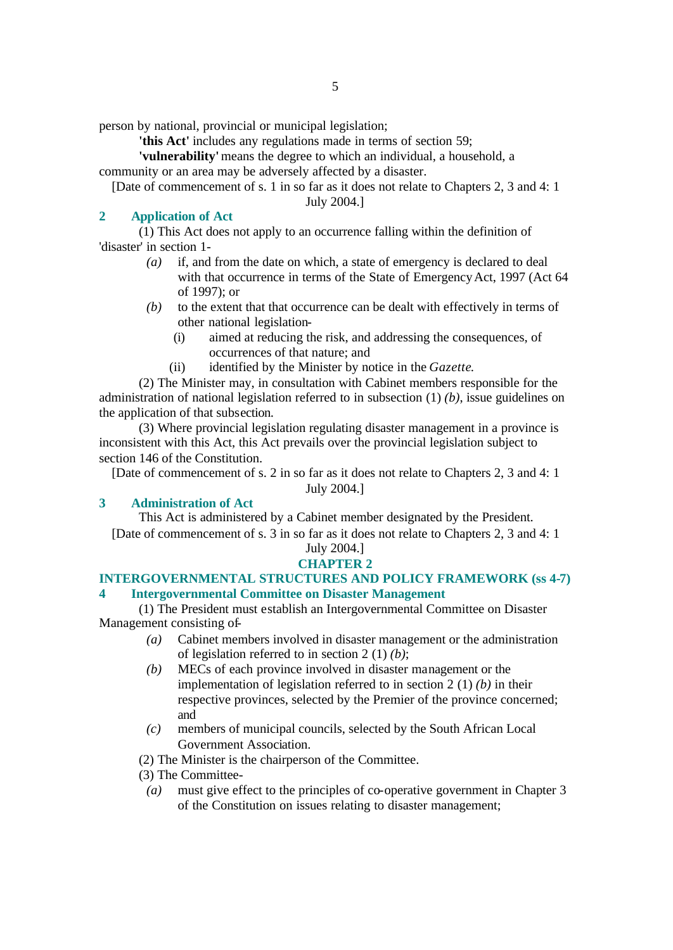person by national, provincial or municipal legislation;

**'this Act'** includes any regulations made in terms of section 59;

**'vulnerability'** means the degree to which an individual, a household, a community or an area may be adversely affected by a disaster.

[Date of commencement of s. 1 in so far as it does not relate to Chapters 2, 3 and 4: 1

July 2004.]

# **2 Application of Act**

(1) This Act does not apply to an occurrence falling within the definition of 'disaster' in section 1-

- *(a)* if, and from the date on which, a state of emergency is declared to deal with that occurrence in terms of the State of Emergency Act, 1997 (Act 64 of 1997); or
- *(b)* to the extent that that occurrence can be dealt with effectively in terms of other national legislation-
	- (i) aimed at reducing the risk, and addressing the consequences, of occurrences of that nature; and
	- (ii) identified by the Minister by notice in the *Gazette*.

(2) The Minister may, in consultation with Cabinet members responsible for the administration of national legislation referred to in subsection (1) *(b)*, issue guidelines on the application of that subsection.

(3) Where provincial legislation regulating disaster management in a province is inconsistent with this Act, this Act prevails over the provincial legislation subject to section 146 of the Constitution.

[Date of commencement of s. 2 in so far as it does not relate to Chapters 2, 3 and 4: 1 July 2004.]

# **3 Administration of Act**

This Act is administered by a Cabinet member designated by the President. [Date of commencement of s. 3 in so far as it does not relate to Chapters 2, 3 and 4: 1

# July 2004.]

# **CHAPTER 2**

#### **INTERGOVERNMENTAL STRUCTURES AND POLICY FRAMEWORK (ss 4-7) 4 Intergovernmental Committee on Disaster Management**

(1) The President must establish an Intergovernmental Committee on Disaster Management consisting of-

- *(a)* Cabinet members involved in disaster management or the administration of legislation referred to in section 2 (1) *(b)*;
- *(b)* MECs of each province involved in disaster management or the implementation of legislation referred to in section 2 (1) *(b)* in their respective provinces, selected by the Premier of the province concerned; and
- *(c)* members of municipal councils, selected by the South African Local Government Association.

(2) The Minister is the chairperson of the Committee.

- (3) The Committee-
	- *(a)* must give effect to the principles of co-operative government in Chapter 3 of the Constitution on issues relating to disaster management;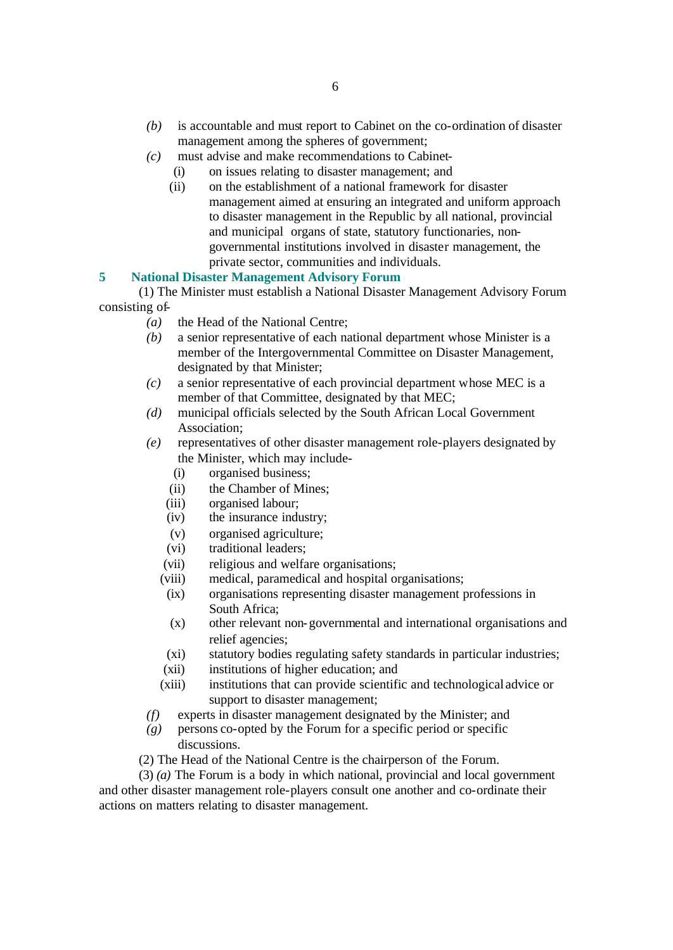- *(c)* must advise and make recommendations to Cabinet-
	- (i) on issues relating to disaster management; and
	- (ii) on the establishment of a national framework for disaster management aimed at ensuring an integrated and uniform approach to disaster management in the Republic by all national, provincial and municipal organs of state, statutory functionaries, nongovernmental institutions involved in disaster management, the private sector, communities and individuals.

#### **5 National Disaster Management Advisory Forum**

(1) The Minister must establish a National Disaster Management Advisory Forum consisting of-

- *(a)* the Head of the National Centre;
- *(b)* a senior representative of each national department whose Minister is a member of the Intergovernmental Committee on Disaster Management, designated by that Minister;
- *(c)* a senior representative of each provincial department whose MEC is a member of that Committee, designated by that MEC;
- *(d)* municipal officials selected by the South African Local Government Association;
- *(e)* representatives of other disaster management role-players designated by the Minister, which may include-
	- (i) organised business;
	- (ii) the Chamber of Mines;
	- (iii) organised labour;
	- (iv) the insurance industry;
	- (v) organised agriculture;
	- (vi) traditional leaders;
	- (vii) religious and welfare organisations;
	- (viii) medical, paramedical and hospital organisations;
	- (ix) organisations representing disaster management professions in South Africa;
	- (x) other relevant non-governmental and international organisations and relief agencies;
	- (xi) statutory bodies regulating safety standards in particular industries;
	- (xii) institutions of higher education; and
	- (xiii) institutions that can provide scientific and technological advice or support to disaster management;
- *(f)* experts in disaster management designated by the Minister; and
- *(g)* persons co-opted by the Forum for a specific period or specific discussions.
- (2) The Head of the National Centre is the chairperson of the Forum.

(3) *(a)* The Forum is a body in which national, provincial and local government and other disaster management role-players consult one another and co-ordinate their actions on matters relating to disaster management.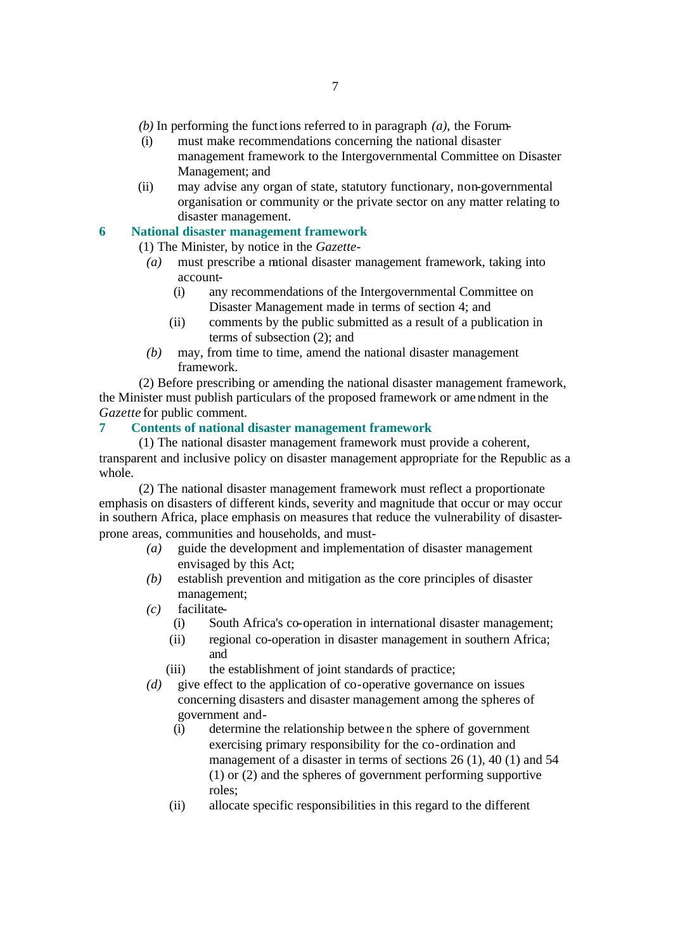- *(b)* In performing the functions referred to in paragraph *(a)*, the Forum-
- (i) must make recommendations concerning the national disaster management framework to the Intergovernmental Committee on Disaster Management; and
- (ii) may advise any organ of state, statutory functionary, non-governmental organisation or community or the private sector on any matter relating to disaster management.

#### **6 National disaster management framework**

(1) The Minister, by notice in the *Gazette*-

- *(a)* must prescribe a national disaster management framework, taking into account-
	- (i) any recommendations of the Intergovernmental Committee on Disaster Management made in terms of section 4; and
	- (ii) comments by the public submitted as a result of a publication in terms of subsection (2); and
- *(b)* may, from time to time, amend the national disaster management framework.

(2) Before prescribing or amending the national disaster management framework, the Minister must publish particulars of the proposed framework or ame ndment in the *Gazette* for public comment.

# **7 Contents of national disaster management framework**

(1) The national disaster management framework must provide a coherent, transparent and inclusive policy on disaster management appropriate for the Republic as a whole.

(2) The national disaster management framework must reflect a proportionate emphasis on disasters of different kinds, severity and magnitude that occur or may occur in southern Africa, place emphasis on measures that reduce the vulnerability of disasterprone areas, communities and households, and must-

- *(a)* guide the development and implementation of disaster management envisaged by this Act;
- *(b)* establish prevention and mitigation as the core principles of disaster management;
- *(c)* facilitate-
	- (i) South Africa's co-operation in international disaster management;
	- (ii) regional co-operation in disaster management in southern Africa; and
	- (iii) the establishment of joint standards of practice;
- *(d)* give effect to the application of co-operative governance on issues concerning disasters and disaster management among the spheres of government and-
	- (i) determine the relationship between the sphere of government exercising primary responsibility for the co-ordination and management of a disaster in terms of sections 26 (1), 40 (1) and 54 (1) or (2) and the spheres of government performing supportive roles;
	- (ii) allocate specific responsibilities in this regard to the different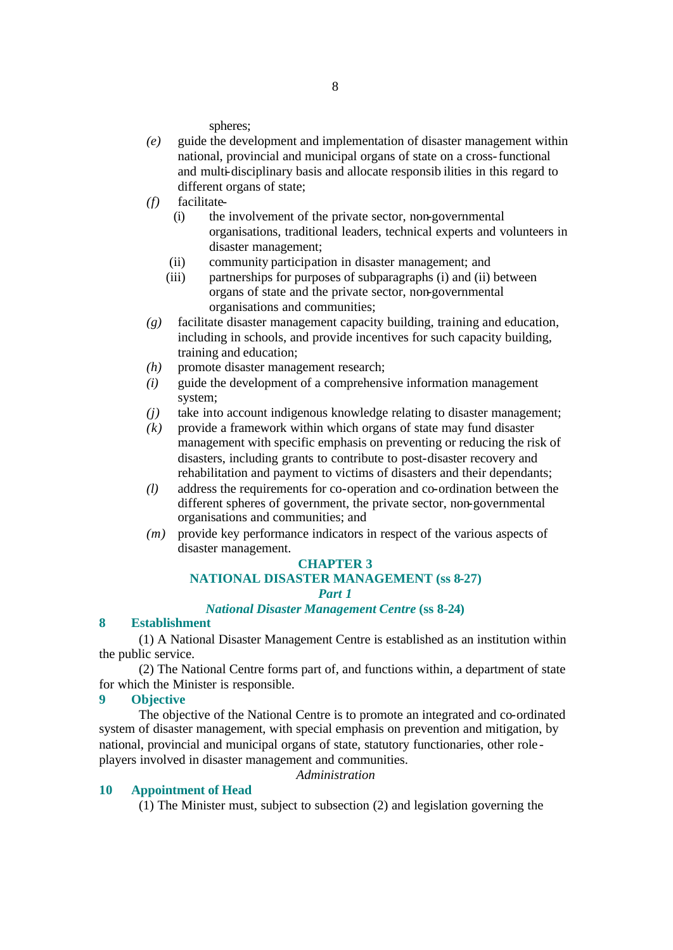spheres;

- *(e)* guide the development and implementation of disaster management within national, provincial and municipal organs of state on a cross-functional and multi-disciplinary basis and allocate responsib ilities in this regard to different organs of state;
- *(f)* facilitate-
	- (i) the involvement of the private sector, non-governmental organisations, traditional leaders, technical experts and volunteers in disaster management;
	- (ii) community participation in disaster management; and
	- (iii) partnerships for purposes of subparagraphs (i) and (ii) between organs of state and the private sector, non-governmental organisations and communities;
- *(g)* facilitate disaster management capacity building, training and education, including in schools, and provide incentives for such capacity building, training and education;
- *(h)* promote disaster management research;
- *(i)* guide the development of a comprehensive information management system;
- *(j)* take into account indigenous knowledge relating to disaster management;
- *(k)* provide a framework within which organs of state may fund disaster management with specific emphasis on preventing or reducing the risk of disasters, including grants to contribute to post-disaster recovery and rehabilitation and payment to victims of disasters and their dependants;
- *(l)* address the requirements for co-operation and co-ordination between the different spheres of government, the private sector, non-governmental organisations and communities; and
- *(m)* provide key performance indicators in respect of the various aspects of disaster management.

#### **CHAPTER 3**

# **NATIONAL DISASTER MANAGEMENT (ss 8-27)**

#### *Part 1*

## *National Disaster Management Centre* **(ss 8-24)**

### **8 Establishment**

(1) A National Disaster Management Centre is established as an institution within the public service.

(2) The National Centre forms part of, and functions within, a department of state for which the Minister is responsible.

#### **9 Objective**

The objective of the National Centre is to promote an integrated and co-ordinated system of disaster management, with special emphasis on prevention and mitigation, by national, provincial and municipal organs of state, statutory functionaries, other role players involved in disaster management and communities.

*Administration* 

#### **10 Appointment of Head**

(1) The Minister must, subject to subsection (2) and legislation governing the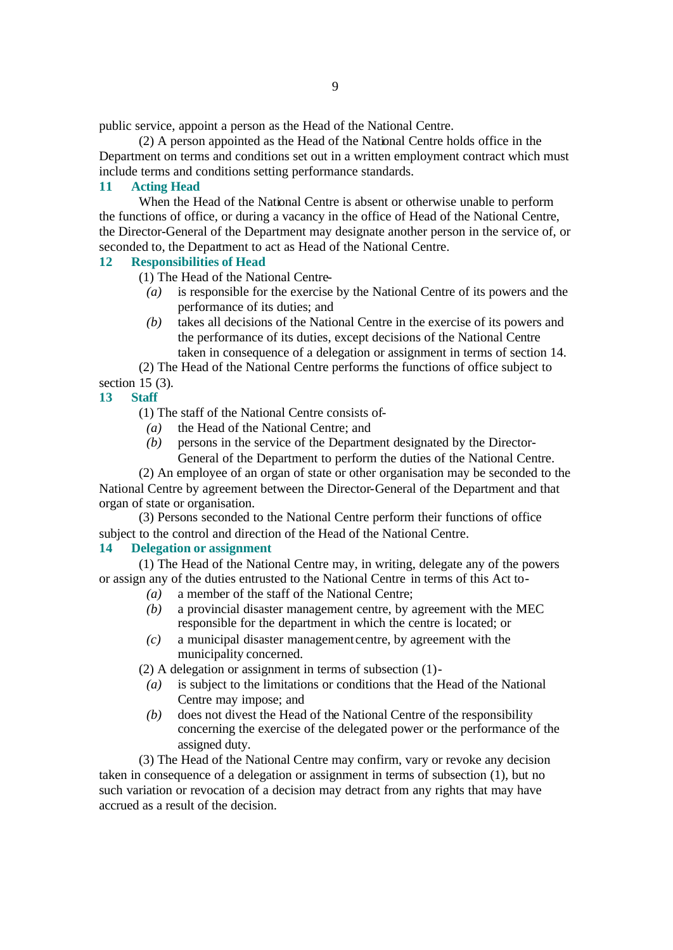public service, appoint a person as the Head of the National Centre.

(2) A person appointed as the Head of the National Centre holds office in the Department on terms and conditions set out in a written employment contract which must include terms and conditions setting performance standards.

#### **11 Acting Head**

When the Head of the National Centre is absent or otherwise unable to perform the functions of office, or during a vacancy in the office of Head of the National Centre, the Director-General of the Department may designate another person in the service of, or seconded to, the Department to act as Head of the National Centre.

#### **12 Responsibilities of Head**

(1) The Head of the National Centre-

- *(a)* is responsible for the exercise by the National Centre of its powers and the performance of its duties; and
- *(b)* takes all decisions of the National Centre in the exercise of its powers and the performance of its duties, except decisions of the National Centre taken in consequence of a delegation or assignment in terms of section 14.

(2) The Head of the National Centre performs the functions of office subject to section 15 (3).

#### **13 Staff**

(1) The staff of the National Centre consists of-

- *(a)* the Head of the National Centre; and
- *(b)* persons in the service of the Department designated by the Director-General of the Department to perform the duties of the National Centre.

(2) An employee of an organ of state or other organisation may be seconded to the National Centre by agreement between the Director-General of the Department and that organ of state or organisation.

(3) Persons seconded to the National Centre perform their functions of office subject to the control and direction of the Head of the National Centre.

#### **14 Delegation or assignment**

(1) The Head of the National Centre may, in writing, delegate any of the powers or assign any of the duties entrusted to the National Centre in terms of this Act to-

- *(a)* a member of the staff of the National Centre;
- *(b)* a provincial disaster management centre, by agreement with the MEC responsible for the department in which the centre is located; or
- *(c)* a municipal disaster management centre, by agreement with the municipality concerned.

(2) A delegation or assignment in terms of subsection (1)-

- *(a)* is subject to the limitations or conditions that the Head of the National Centre may impose; and
- *(b)* does not divest the Head of the National Centre of the responsibility concerning the exercise of the delegated power or the performance of the assigned duty.

(3) The Head of the National Centre may confirm, vary or revoke any decision taken in consequence of a delegation or assignment in terms of subsection (1), but no such variation or revocation of a decision may detract from any rights that may have accrued as a result of the decision.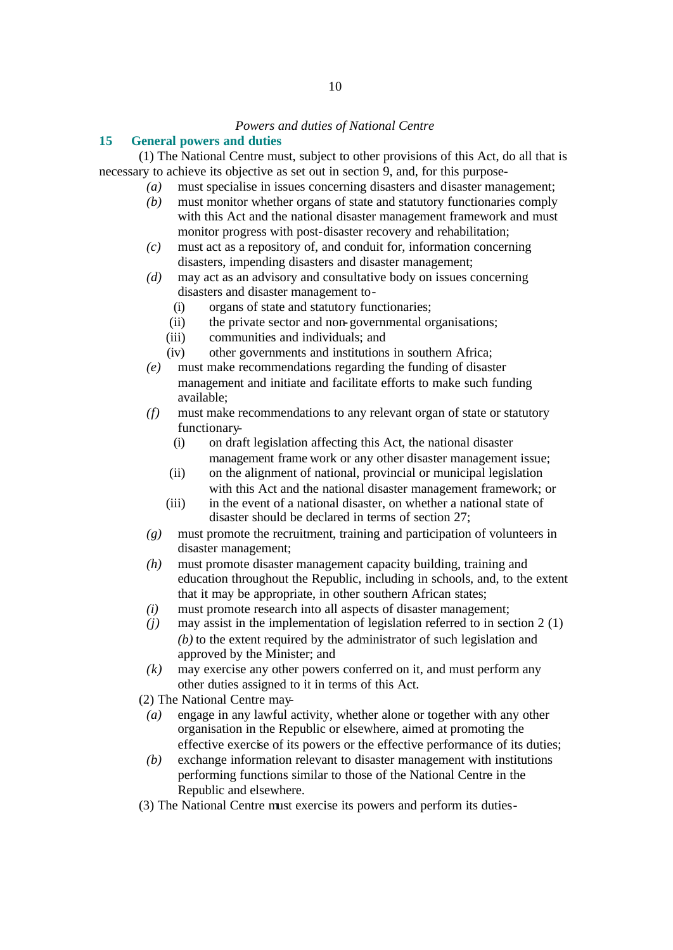#### *Powers and duties of National Centre*

#### **15 General powers and duties**

(1) The National Centre must, subject to other provisions of this Act, do all that is necessary to achieve its objective as set out in section 9, and, for this purpose-

- *(a)* must specialise in issues concerning disasters and disaster management;
- *(b)* must monitor whether organs of state and statutory functionaries comply with this Act and the national disaster management framework and must monitor progress with post-disaster recovery and rehabilitation;
- *(c)* must act as a repository of, and conduit for, information concerning disasters, impending disasters and disaster management;
- *(d)* may act as an advisory and consultative body on issues concerning disasters and disaster management to-
	- (i) organs of state and statutory functionaries;
	- (ii) the private sector and non-governmental organisations;
	- (iii) communities and individuals; and
	- (iv) other governments and institutions in southern Africa;
- *(e)* must make recommendations regarding the funding of disaster management and initiate and facilitate efforts to make such funding available;
- *(f)* must make recommendations to any relevant organ of state or statutory functionary-
	- (i) on draft legislation affecting this Act, the national disaster management frame work or any other disaster management issue;
	- (ii) on the alignment of national, provincial or municipal legislation with this Act and the national disaster management framework; or
	- (iii) in the event of a national disaster, on whether a national state of disaster should be declared in terms of section 27;
- *(g)* must promote the recruitment, training and participation of volunteers in disaster management;
- *(h)* must promote disaster management capacity building, training and education throughout the Republic, including in schools, and, to the extent that it may be appropriate, in other southern African states;
- *(i)* must promote research into all aspects of disaster management;
- *(j)* may assist in the implementation of legislation referred to in section 2 (1) *(b)* to the extent required by the administrator of such legislation and approved by the Minister; and
- *(k)* may exercise any other powers conferred on it, and must perform any other duties assigned to it in terms of this Act.

(2) The National Centre may-

- *(a)* engage in any lawful activity, whether alone or together with any other organisation in the Republic or elsewhere, aimed at promoting the effective exercise of its powers or the effective performance of its duties;
- *(b)* exchange information relevant to disaster management with institutions performing functions similar to those of the National Centre in the Republic and elsewhere.
- (3) The National Centre must exercise its powers and perform its duties-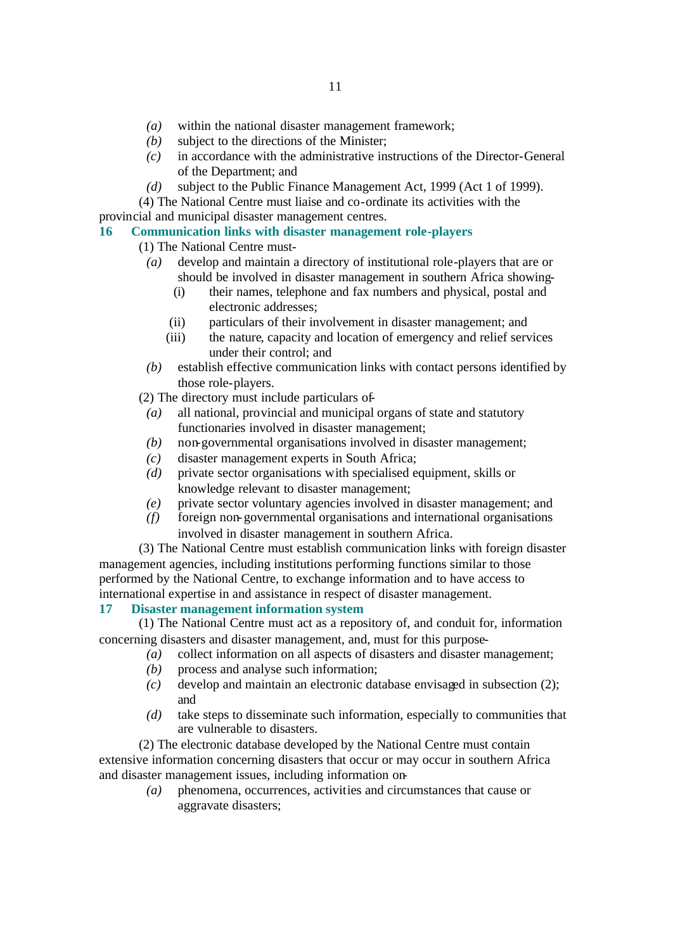- *(b)* subject to the directions of the Minister;
- *(c)* in accordance with the administrative instructions of the Director-General of the Department; and
- *(d)* subject to the Public Finance Management Act, 1999 (Act 1 of 1999).

(4) The National Centre must liaise and co-ordinate its activities with the provincial and municipal disaster management centres.

#### **16 Communication links with disaster management role-players**

- (1) The National Centre must-
	- *(a)* develop and maintain a directory of institutional role-players that are or should be involved in disaster management in southern Africa showing-
		- (i) their names, telephone and fax numbers and physical, postal and electronic addresses;
		- (ii) particulars of their involvement in disaster management; and
		- (iii) the nature, capacity and location of emergency and relief services under their control; and
	- *(b)* establish effective communication links with contact persons identified by those role-players.

(2) The directory must include particulars of-

- *(a)* all national, provincial and municipal organs of state and statutory functionaries involved in disaster management;
- *(b)* non-governmental organisations involved in disaster management;
- *(c)* disaster management experts in South Africa;
- *(d)* private sector organisations with specialised equipment, skills or knowledge relevant to disaster management;
- *(e)* private sector voluntary agencies involved in disaster management; and
- *(f)* foreign non-governmental organisations and international organisations involved in disaster management in southern Africa.

(3) The National Centre must establish communication links with foreign disaster management agencies, including institutions performing functions similar to those performed by the National Centre, to exchange information and to have access to international expertise in and assistance in respect of disaster management.

# **17 Disaster management information system**

(1) The National Centre must act as a repository of, and conduit for, information concerning disasters and disaster management, and, must for this purpose-

- *(a)* collect information on all aspects of disasters and disaster management;
- *(b)* process and analyse such information;
- *(c)* develop and maintain an electronic database envisaged in subsection (2); and
- *(d)* take steps to disseminate such information, especially to communities that are vulnerable to disasters.

(2) The electronic database developed by the National Centre must contain extensive information concerning disasters that occur or may occur in southern Africa and disaster management issues, including information on-

> *(a)* phenomena, occurrences, activities and circumstances that cause or aggravate disasters;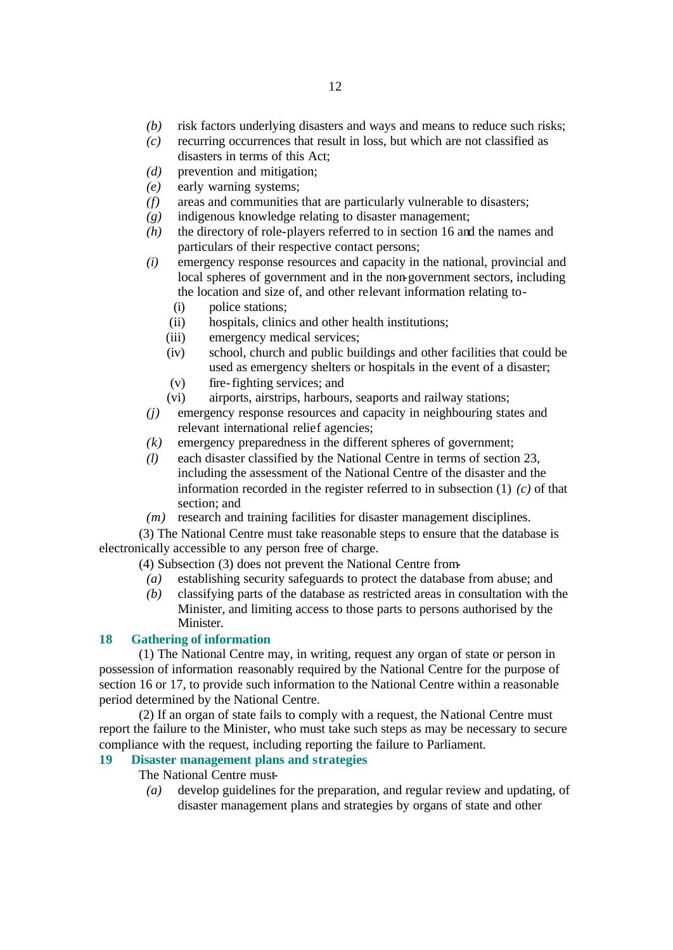- *(b)* risk factors underlying disasters and ways and means to reduce such risks;
- *(c)* recurring occurrences that result in loss, but which are not classified as disasters in terms of this Act;
- *(d)* prevention and mitigation;
- *(e)* early warning systems;
- *(f)* areas and communities that are particularly vulnerable to disasters;
- *(g)* indigenous knowledge relating to disaster management;
- *(h)* the directory of role-players referred to in section 16 and the names and particulars of their respective contact persons;
- *(i)* emergency response resources and capacity in the national, provincial and local spheres of government and in the non-government sectors, including the location and size of, and other relevant information relating to-
	- (i) police stations;
	- (ii) hospitals, clinics and other health institutions;
	- (iii) emergency medical services;
	- (iv) school, church and public buildings and other facilities that could be used as emergency shelters or hospitals in the event of a disaster;
	- (v) fire-fighting services; and
	- (vi) airports, airstrips, harbours, seaports and railway stations;
- *(j)* emergency response resources and capacity in neighbouring states and relevant international relief agencies;
- *(k)* emergency preparedness in the different spheres of government;
- *(l)* each disaster classified by the National Centre in terms of section 23, including the assessment of the National Centre of the disaster and the information recorded in the register referred to in subsection (1) *(c)* of that section; and
- *(m)* research and training facilities for disaster management disciplines.

(3) The National Centre must take reasonable steps to ensure that the database is electronically accessible to any person free of charge.

(4) Subsection (3) does not prevent the National Centre from-

- *(a)* establishing security safeguards to protect the database from abuse; and
- *(b)* classifying parts of the database as restricted areas in consultation with the Minister, and limiting access to those parts to persons authorised by the Minister.

#### **18 Gathering of information**

(1) The National Centre may, in writing, request any organ of state or person in possession of information reasonably required by the National Centre for the purpose of section 16 or 17, to provide such information to the National Centre within a reasonable period determined by the National Centre.

(2) If an organ of state fails to comply with a request, the National Centre must report the failure to the Minister, who must take such steps as may be necessary to secure compliance with the request, including reporting the failure to Parliament.

# **19 Disaster management plans and strategies**

The National Centre must-

*(a)* develop guidelines for the preparation, and regular review and updating, of disaster management plans and strategies by organs of state and other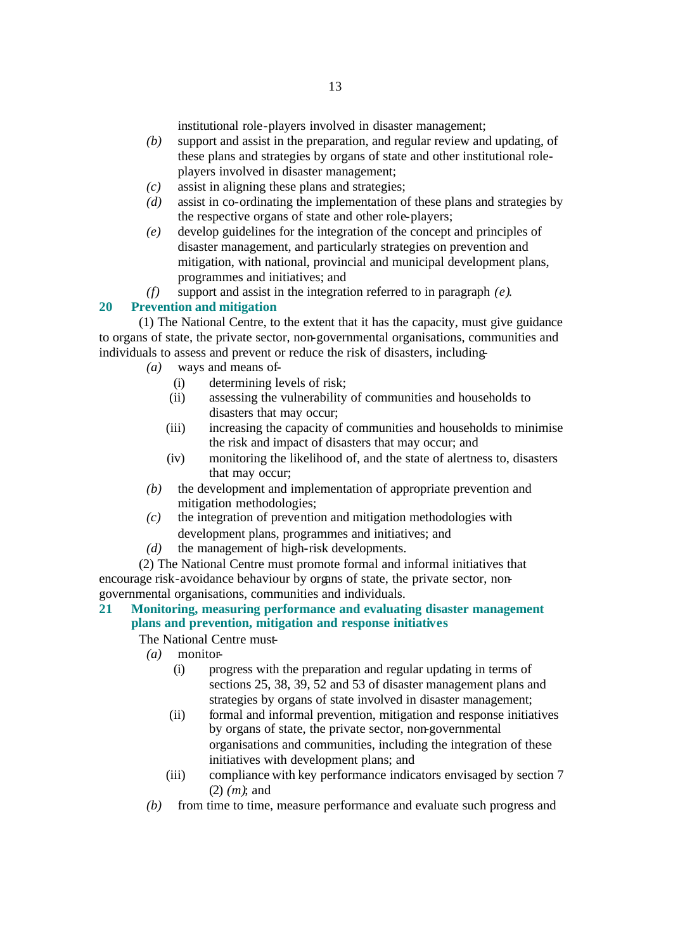institutional role-players involved in disaster management;

- *(b)* support and assist in the preparation, and regular review and updating, of these plans and strategies by organs of state and other institutional roleplayers involved in disaster management;
- *(c)* assist in aligning these plans and strategies;
- *(d)* assist in co-ordinating the implementation of these plans and strategies by the respective organs of state and other role-players;
- *(e)* develop guidelines for the integration of the concept and principles of disaster management, and particularly strategies on prevention and mitigation, with national, provincial and municipal development plans, programmes and initiatives; and
- *(f)* support and assist in the integration referred to in paragraph *(e)*.

#### **20 Prevention and mitigation**

(1) The National Centre, to the extent that it has the capacity, must give guidance to organs of state, the private sector, non-governmental organisations, communities and individuals to assess and prevent or reduce the risk of disasters, including-

- *(a)* ways and means of-
	- (i) determining levels of risk;
	- (ii) assessing the vulnerability of communities and households to disasters that may occur;
	- (iii) increasing the capacity of communities and households to minimise the risk and impact of disasters that may occur; and
	- (iv) monitoring the likelihood of, and the state of alertness to, disasters that may occur;
- *(b)* the development and implementation of appropriate prevention and mitigation methodologies;
- *(c)* the integration of prevention and mitigation methodologies with development plans, programmes and initiatives; and
- *(d)* the management of high-risk developments.

(2) The National Centre must promote formal and informal initiatives that encourage risk-avoidance behaviour by organs of state, the private sector, nongovernmental organisations, communities and individuals.

# **21 Monitoring, measuring performance and evaluating disaster management plans and prevention, mitigation and response initiatives**

The National Centre must-

- *(a)* monitor-
	- (i) progress with the preparation and regular updating in terms of sections 25, 38, 39, 52 and 53 of disaster management plans and strategies by organs of state involved in disaster management;
	- (ii) formal and informal prevention, mitigation and response initiatives by organs of state, the private sector, non-governmental organisations and communities, including the integration of these initiatives with development plans; and
	- (iii) compliance with key performance indicators envisaged by section 7 (2) *(m)*; and
- *(b)* from time to time, measure performance and evaluate such progress and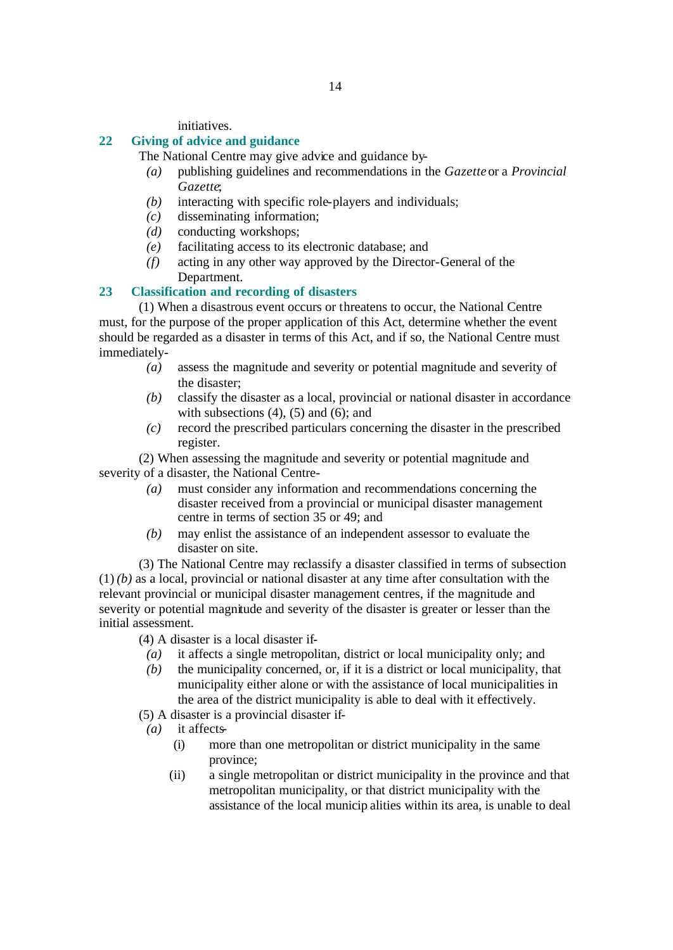initiatives.

#### **22 Giving of advice and guidance**

The National Centre may give advice and guidance by-

- *(a)* publishing guidelines and recommendations in the *Gazette* or a *Provincial Gazette*;
- *(b)* interacting with specific role-players and individuals;
- *(c)* disseminating information;
- *(d)* conducting workshops;
- *(e)* facilitating access to its electronic database; and
- *(f)* acting in any other way approved by the Director-General of the Department.

# **23 Classification and recording of disasters**

(1) When a disastrous event occurs or threatens to occur, the National Centre must, for the purpose of the proper application of this Act, determine whether the event should be regarded as a disaster in terms of this Act, and if so, the National Centre must immediately-

- *(a)* assess the magnitude and severity or potential magnitude and severity of the disaster;
- *(b)* classify the disaster as a local, provincial or national disaster in accordance with subsections  $(4)$ ,  $(5)$  and  $(6)$ ; and
- *(c)* record the prescribed particulars concerning the disaster in the prescribed register.

(2) When assessing the magnitude and severity or potential magnitude and severity of a disaster, the National Centre-

- *(a)* must consider any information and recommendations concerning the disaster received from a provincial or municipal disaster management centre in terms of section 35 or 49; and
- *(b)* may enlist the assistance of an independent assessor to evaluate the disaster on site.

(3) The National Centre may reclassify a disaster classified in terms of subsection (1) *(b)* as a local, provincial or national disaster at any time after consultation with the relevant provincial or municipal disaster management centres, if the magnitude and severity or potential magnitude and severity of the disaster is greater or lesser than the initial assessment.

(4) A disaster is a local disaster if-

- *(a)* it affects a single metropolitan, district or local municipality only; and
- *(b)* the municipality concerned, or, if it is a district or local municipality, that municipality either alone or with the assistance of local municipalities in the area of the district municipality is able to deal with it effectively.
- (5) A disaster is a provincial disaster if-
- *(a)* it affects-
	- (i) more than one metropolitan or district municipality in the same province;
	- (ii) a single metropolitan or district municipality in the province and that metropolitan municipality, or that district municipality with the assistance of the local municip alities within its area, is unable to deal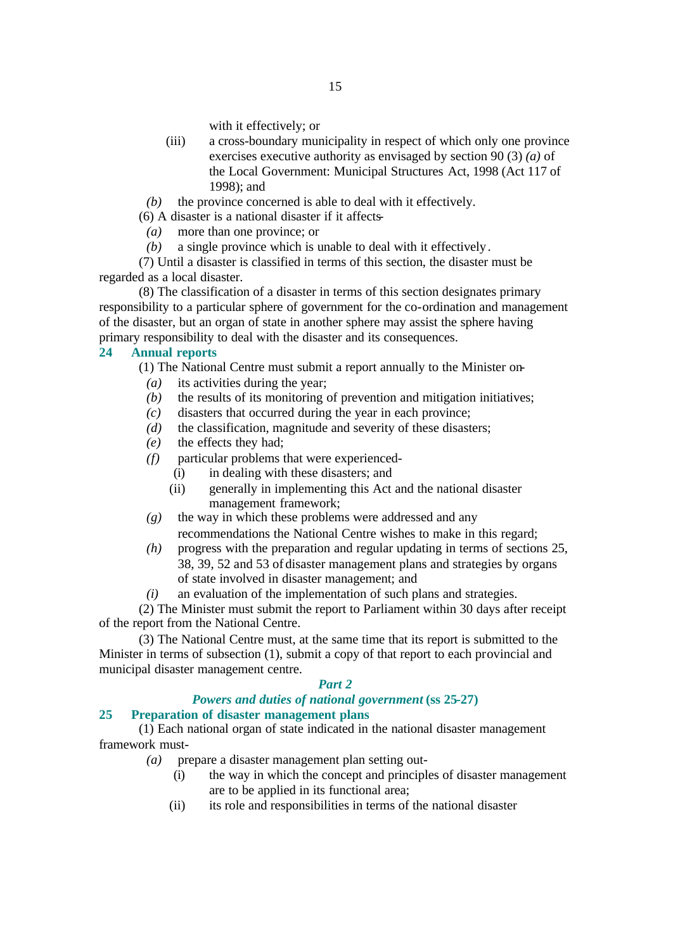with it effectively; or

- (iii) a cross-boundary municipality in respect of which only one province exercises executive authority as envisaged by section 90 (3) *(a)* of the Local Government: Municipal Structures Act, 1998 (Act 117 of 1998); and
- *(b)* the province concerned is able to deal with it effectively.
- (6) A disaster is a national disaster if it affects-
- *(a)* more than one province; or
- *(b)* a single province which is unable to deal with it effectively.

(7) Until a disaster is classified in terms of this section, the disaster must be regarded as a local disaster.

(8) The classification of a disaster in terms of this section designates primary responsibility to a particular sphere of government for the co-ordination and management of the disaster, but an organ of state in another sphere may assist the sphere having primary responsibility to deal with the disaster and its consequences.

### **24 Annual reports**

(1) The National Centre must submit a report annually to the Minister on-

- *(a)* its activities during the year;
- *(b)* the results of its monitoring of prevention and mitigation initiatives;
- *(c)* disasters that occurred during the year in each province;
- *(d)* the classification, magnitude and severity of these disasters;
- *(e)* the effects they had;
- *(f)* particular problems that were experienced-
	- (i) in dealing with these disasters; and
	- (ii) generally in implementing this Act and the national disaster management framework;
- *(g)* the way in which these problems were addressed and any recommendations the National Centre wishes to make in this regard;
- *(h)* progress with the preparation and regular updating in terms of sections 25, 38, 39, 52 and 53 of disaster management plans and strategies by organs of state involved in disaster management; and
- *(i)* an evaluation of the implementation of such plans and strategies.

(2) The Minister must submit the report to Parliament within 30 days after receipt of the report from the National Centre.

(3) The National Centre must, at the same time that its report is submitted to the Minister in terms of subsection (1), submit a copy of that report to each provincial and municipal disaster management centre.

#### *Part 2*

# *Powers and duties of national government* **(ss 25-27)**

# **25 Preparation of disaster management plans**

(1) Each national organ of state indicated in the national disaster management framework must-

- *(a)* prepare a disaster management plan setting out-
	- (i) the way in which the concept and principles of disaster management are to be applied in its functional area;
	- (ii) its role and responsibilities in terms of the national disaster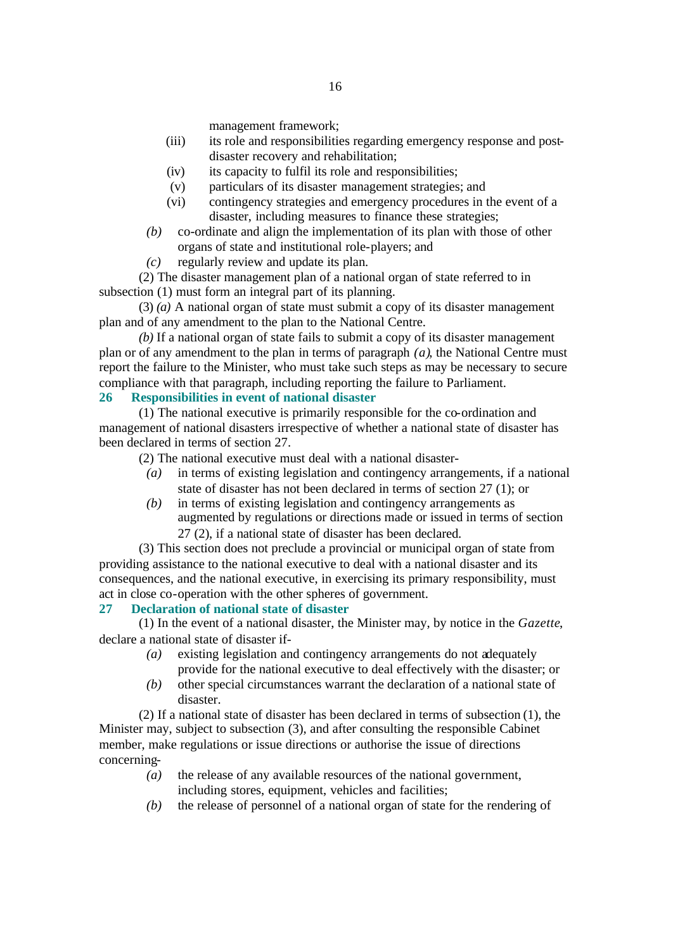management framework;

- (iii) its role and responsibilities regarding emergency response and postdisaster recovery and rehabilitation;
- (iv) its capacity to fulfil its role and responsibilities;
- (v) particulars of its disaster management strategies; and
- (vi) contingency strategies and emergency procedures in the event of a disaster, including measures to finance these strategies;
- *(b)* co-ordinate and align the implementation of its plan with those of other organs of state and institutional role-players; and
- *(c)* regularly review and update its plan.

(2) The disaster management plan of a national organ of state referred to in subsection (1) must form an integral part of its planning.

(3) *(a)* A national organ of state must submit a copy of its disaster management plan and of any amendment to the plan to the National Centre.

*(b)* If a national organ of state fails to submit a copy of its disaster management plan or of any amendment to the plan in terms of paragraph *(a)*, the National Centre must report the failure to the Minister, who must take such steps as may be necessary to secure compliance with that paragraph, including reporting the failure to Parliament.

#### **26 Responsibilities in event of national disaster**

(1) The national executive is primarily responsible for the co-ordination and management of national disasters irrespective of whether a national state of disaster has been declared in terms of section 27.

(2) The national executive must deal with a national disaster-

- *(a)* in terms of existing legislation and contingency arrangements, if a national state of disaster has not been declared in terms of section 27 (1); or
- *(b)* in terms of existing legislation and contingency arrangements as augmented by regulations or directions made or issued in terms of section 27 (2), if a national state of disaster has been declared.

(3) This section does not preclude a provincial or municipal organ of state from providing assistance to the national executive to deal with a national disaster and its consequences, and the national executive, in exercising its primary responsibility, must act in close co-operation with the other spheres of government.

#### **27 Declaration of national state of disaster**

(1) In the event of a national disaster, the Minister may, by notice in the *Gazette*, declare a national state of disaster if-

- *(a)* existing legislation and contingency arrangements do not adequately provide for the national executive to deal effectively with the disaster; or
- *(b)* other special circumstances warrant the declaration of a national state of disaster.

(2) If a national state of disaster has been declared in terms of subsection (1), the Minister may, subject to subsection (3), and after consulting the responsible Cabinet member, make regulations or issue directions or authorise the issue of directions concerning-

- *(a)* the release of any available resources of the national government, including stores, equipment, vehicles and facilities;
- *(b)* the release of personnel of a national organ of state for the rendering of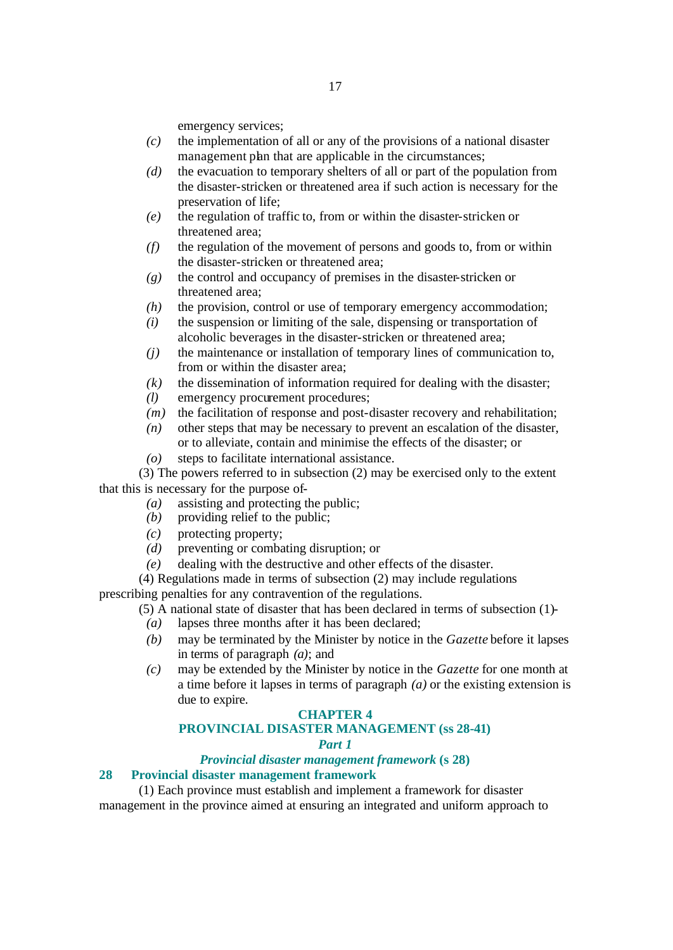emergency services;

- *(c)* the implementation of all or any of the provisions of a national disaster management plan that are applicable in the circumstances;
- *(d)* the evacuation to temporary shelters of all or part of the population from the disaster-stricken or threatened area if such action is necessary for the preservation of life;
- *(e)* the regulation of traffic to, from or within the disaster-stricken or threatened area;
- *(f)* the regulation of the movement of persons and goods to, from or within the disaster-stricken or threatened area;
- *(g)* the control and occupancy of premises in the disaster-stricken or threatened area;
- *(h)* the provision, control or use of temporary emergency accommodation;
- *(i)* the suspension or limiting of the sale, dispensing or transportation of alcoholic beverages in the disaster-stricken or threatened area;
- *(j)* the maintenance or installation of temporary lines of communication to, from or within the disaster area;
- *(k)* the dissemination of information required for dealing with the disaster;
- *(l)* emergency procurement procedures;
- *(m)* the facilitation of response and post-disaster recovery and rehabilitation;
- *(n)* other steps that may be necessary to prevent an escalation of the disaster, or to alleviate, contain and minimise the effects of the disaster; or
- *(o)* steps to facilitate international assistance.

(3) The powers referred to in subsection (2) may be exercised only to the extent that this is necessary for the purpose of-

- *(a)* assisting and protecting the public;
- *(b)* providing relief to the public;
- *(c)* protecting property;
- *(d)* preventing or combating disruption; or
- *(e)* dealing with the destructive and other effects of the disaster.

(4) Regulations made in terms of subsection (2) may include regulations

prescribing penalties for any contravention of the regulations.

- (5) A national state of disaster that has been declared in terms of subsection (1)-
	- *(a)* lapses three months after it has been declared;
	- *(b)* may be terminated by the Minister by notice in the *Gazette* before it lapses in terms of paragraph *(a)*; and
	- *(c)* may be extended by the Minister by notice in the *Gazette* for one month at a time before it lapses in terms of paragraph *(a)* or the existing extension is due to expire.

#### **CHAPTER 4**

# **PROVINCIAL DISASTER MANAGEMENT (ss 28-41)**

#### *Part 1*

#### *Provincial disaster management framework* **(s 28)**

#### **28 Provincial disaster management framework**

(1) Each province must establish and implement a framework for disaster management in the province aimed at ensuring an integrated and uniform approach to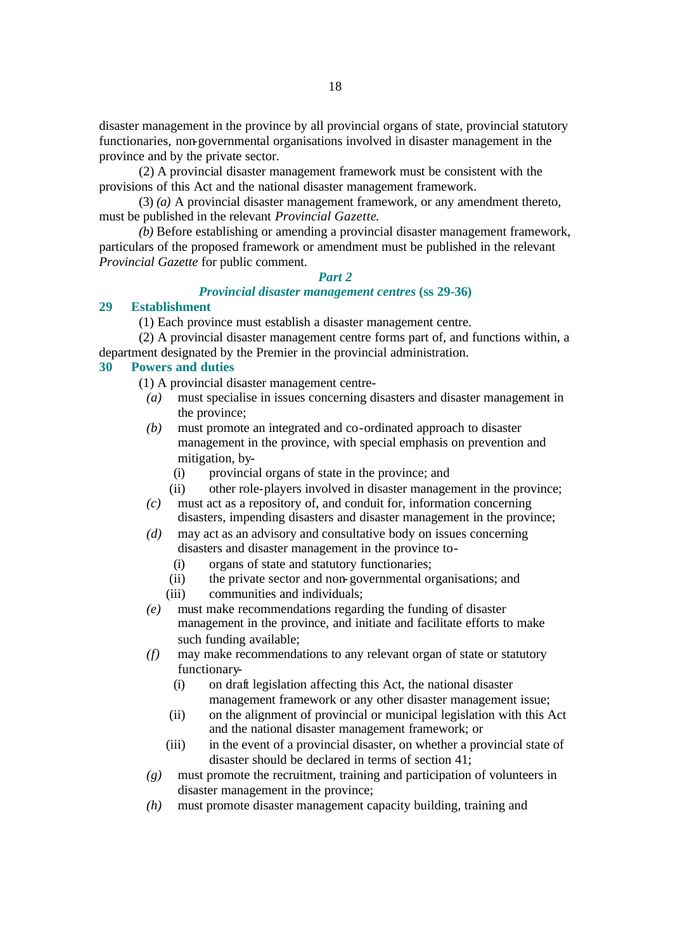disaster management in the province by all provincial organs of state, provincial statutory functionaries, non-governmental organisations involved in disaster management in the province and by the private sector.

(2) A provincial disaster management framework must be consistent with the provisions of this Act and the national disaster management framework.

(3) *(a)* A provincial disaster management framework, or any amendment thereto, must be published in the relevant *Provincial Gazette*.

*(b)* Before establishing or amending a provincial disaster management framework, particulars of the proposed framework or amendment must be published in the relevant *Provincial Gazette* for public comment.

# *Part 2*

### *Provincial disaster management centres* **(ss 29-36)**

#### **29 Establishment**

(1) Each province must establish a disaster management centre.

(2) A provincial disaster management centre forms part of, and functions within, a department designated by the Premier in the provincial administration.

#### **30 Powers and duties**

(1) A provincial disaster management centre-

- *(a)* must specialise in issues concerning disasters and disaster management in the province;
- *(b)* must promote an integrated and co-ordinated approach to disaster management in the province, with special emphasis on prevention and mitigation, by-
	- (i) provincial organs of state in the province; and
	- (ii) other role-players involved in disaster management in the province;
- *(c)* must act as a repository of, and conduit for, information concerning disasters, impending disasters and disaster management in the province;
- *(d)* may act as an advisory and consultative body on issues concerning disasters and disaster management in the province to-
	- (i) organs of state and statutory functionaries;
	- (ii) the private sector and non-governmental organisations; and
	- (iii) communities and individuals;
- *(e)* must make recommendations regarding the funding of disaster management in the province, and initiate and facilitate efforts to make such funding available;
- *(f)* may make recommendations to any relevant organ of state or statutory functionary-
	- (i) on draft legislation affecting this Act, the national disaster management framework or any other disaster management issue;
	- (ii) on the alignment of provincial or municipal legislation with this Act and the national disaster management framework; or
	- (iii) in the event of a provincial disaster, on whether a provincial state of disaster should be declared in terms of section 41;
- *(g)* must promote the recruitment, training and participation of volunteers in disaster management in the province;
- *(h)* must promote disaster management capacity building, training and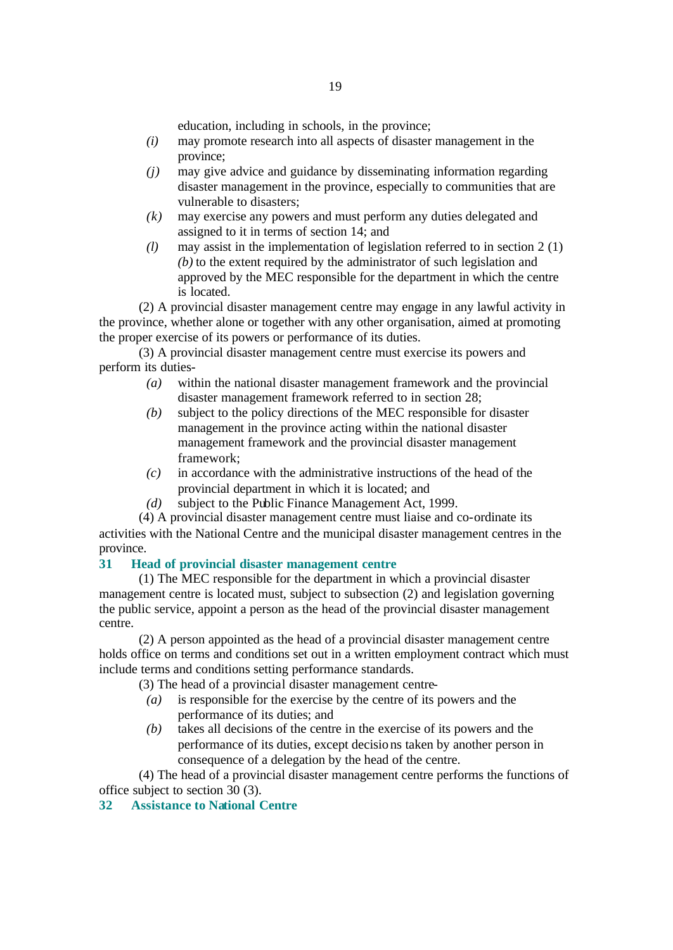education, including in schools, in the province;

- *(i)* may promote research into all aspects of disaster management in the province;
- *(j)* may give advice and guidance by disseminating information regarding disaster management in the province, especially to communities that are vulnerable to disasters;
- *(k)* may exercise any powers and must perform any duties delegated and assigned to it in terms of section 14; and
- *(l)* may assist in the implementation of legislation referred to in section 2 (1) *(b)* to the extent required by the administrator of such legislation and approved by the MEC responsible for the department in which the centre is located.

(2) A provincial disaster management centre may engage in any lawful activity in the province, whether alone or together with any other organisation, aimed at promoting the proper exercise of its powers or performance of its duties.

(3) A provincial disaster management centre must exercise its powers and perform its duties-

- *(a)* within the national disaster management framework and the provincial disaster management framework referred to in section 28;
- *(b)* subject to the policy directions of the MEC responsible for disaster management in the province acting within the national disaster management framework and the provincial disaster management framework;
- *(c)* in accordance with the administrative instructions of the head of the provincial department in which it is located; and
- *(d)* subject to the Public Finance Management Act, 1999.

(4) A provincial disaster management centre must liaise and co-ordinate its activities with the National Centre and the municipal disaster management centres in the province.

# **31 Head of provincial disaster management centre**

(1) The MEC responsible for the department in which a provincial disaster management centre is located must, subject to subsection (2) and legislation governing the public service, appoint a person as the head of the provincial disaster management centre.

(2) A person appointed as the head of a provincial disaster management centre holds office on terms and conditions set out in a written employment contract which must include terms and conditions setting performance standards.

(3) The head of a provincial disaster management centre-

- *(a)* is responsible for the exercise by the centre of its powers and the performance of its duties; and
- *(b)* takes all decisions of the centre in the exercise of its powers and the performance of its duties, except decisio ns taken by another person in consequence of a delegation by the head of the centre.

(4) The head of a provincial disaster management centre performs the functions of office subject to section 30 (3).

#### **32 Assistance to National Centre**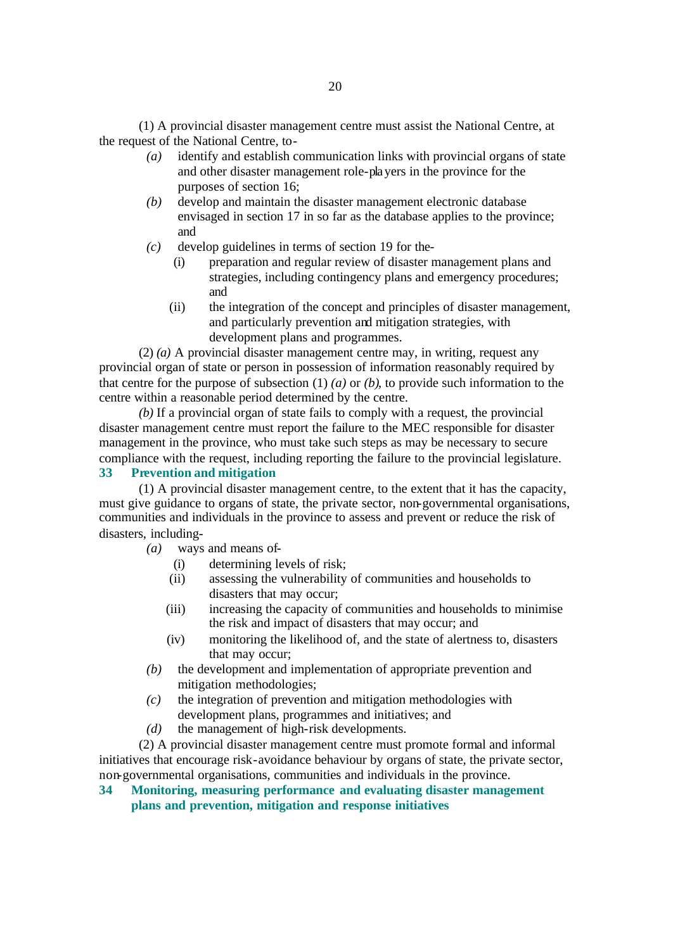(1) A provincial disaster management centre must assist the National Centre, at the request of the National Centre, to-

- *(a)* identify and establish communication links with provincial organs of state and other disaster management role-players in the province for the purposes of section 16;
- *(b)* develop and maintain the disaster management electronic database envisaged in section 17 in so far as the database applies to the province; and
- *(c)* develop guidelines in terms of section 19 for the-
	- (i) preparation and regular review of disaster management plans and strategies, including contingency plans and emergency procedures; and
	- (ii) the integration of the concept and principles of disaster management, and particularly prevention and mitigation strategies, with development plans and programmes.

(2) *(a)* A provincial disaster management centre may, in writing, request any provincial organ of state or person in possession of information reasonably required by that centre for the purpose of subsection (1) *(a)* or *(b)*, to provide such information to the centre within a reasonable period determined by the centre.

*(b)* If a provincial organ of state fails to comply with a request, the provincial disaster management centre must report the failure to the MEC responsible for disaster management in the province, who must take such steps as may be necessary to secure compliance with the request, including reporting the failure to the provincial legislature. **33 Prevention and mitigation** 

(1) A provincial disaster management centre, to the extent that it has the capacity, must give guidance to organs of state, the private sector, non-governmental organisations, communities and individuals in the province to assess and prevent or reduce the risk of disasters, including-

*(a)* ways and means of-

- (i) determining levels of risk;
- (ii) assessing the vulnerability of communities and households to disasters that may occur;
- (iii) increasing the capacity of communities and households to minimise the risk and impact of disasters that may occur; and
- (iv) monitoring the likelihood of, and the state of alertness to, disasters that may occur;
- *(b)* the development and implementation of appropriate prevention and mitigation methodologies;
- *(c)* the integration of prevention and mitigation methodologies with development plans, programmes and initiatives; and
- *(d)* the management of high-risk developments.

(2) A provincial disaster management centre must promote formal and informal initiatives that encourage risk-avoidance behaviour by organs of state, the private sector, non-governmental organisations, communities and individuals in the province.

**34 Monitoring, measuring performance and evaluating disaster management plans and prevention, mitigation and response initiatives**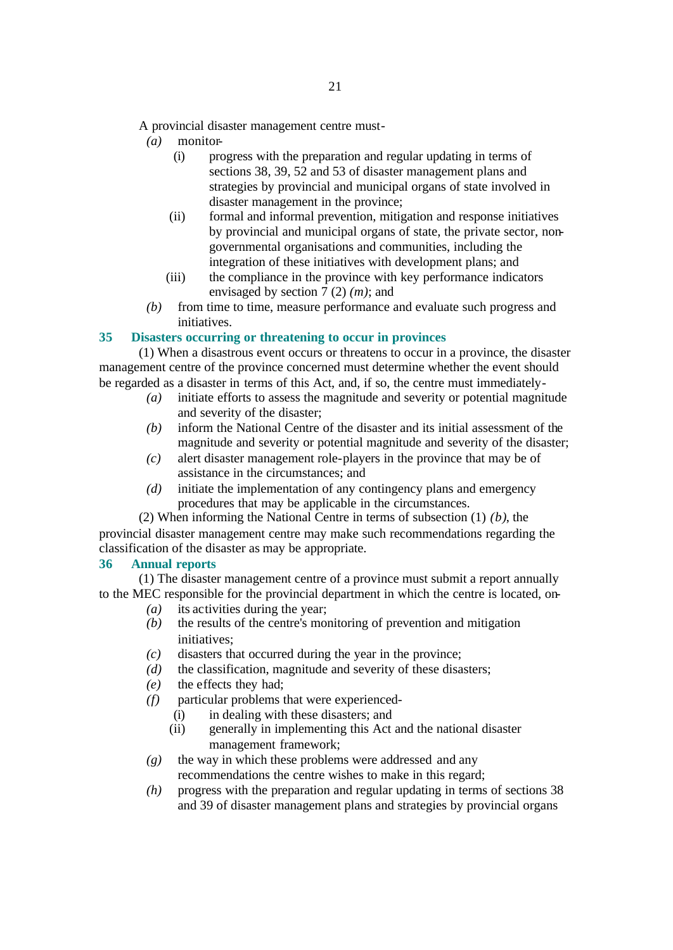A provincial disaster management centre must-

- *(a)* monitor-
	- (i) progress with the preparation and regular updating in terms of sections 38, 39, 52 and 53 of disaster management plans and strategies by provincial and municipal organs of state involved in disaster management in the province;
	- (ii) formal and informal prevention, mitigation and response initiatives by provincial and municipal organs of state, the private sector, nongovernmental organisations and communities, including the integration of these initiatives with development plans; and
	- (iii) the compliance in the province with key performance indicators envisaged by section 7 (2) *(m)*; and
- *(b)* from time to time, measure performance and evaluate such progress and initiatives.

#### **35 Disasters occurring or threatening to occur in provinces**

(1) When a disastrous event occurs or threatens to occur in a province, the disaster management centre of the province concerned must determine whether the event should be regarded as a disaster in terms of this Act, and, if so, the centre must immediately-

- *(a)* initiate efforts to assess the magnitude and severity or potential magnitude and severity of the disaster;
- *(b)* inform the National Centre of the disaster and its initial assessment of the magnitude and severity or potential magnitude and severity of the disaster;
- *(c)* alert disaster management role-players in the province that may be of assistance in the circumstances; and
- *(d)* initiate the implementation of any contingency plans and emergency procedures that may be applicable in the circumstances.
- (2) When informing the National Centre in terms of subsection (1) *(b)*, the

provincial disaster management centre may make such recommendations regarding the classification of the disaster as may be appropriate.

#### **36 Annual reports**

(1) The disaster management centre of a province must submit a report annually to the MEC responsible for the provincial department in which the centre is located, on-

- *(a)* its activities during the year;
- *(b)* the results of the centre's monitoring of prevention and mitigation initiatives;
- *(c)* disasters that occurred during the year in the province;
- *(d)* the classification, magnitude and severity of these disasters;
- *(e)* the effects they had;
- *(f)* particular problems that were experienced-
	- (i) in dealing with these disasters; and
	- (ii) generally in implementing this Act and the national disaster management framework;
- *(g)* the way in which these problems were addressed and any recommendations the centre wishes to make in this regard;
- *(h)* progress with the preparation and regular updating in terms of sections 38 and 39 of disaster management plans and strategies by provincial organs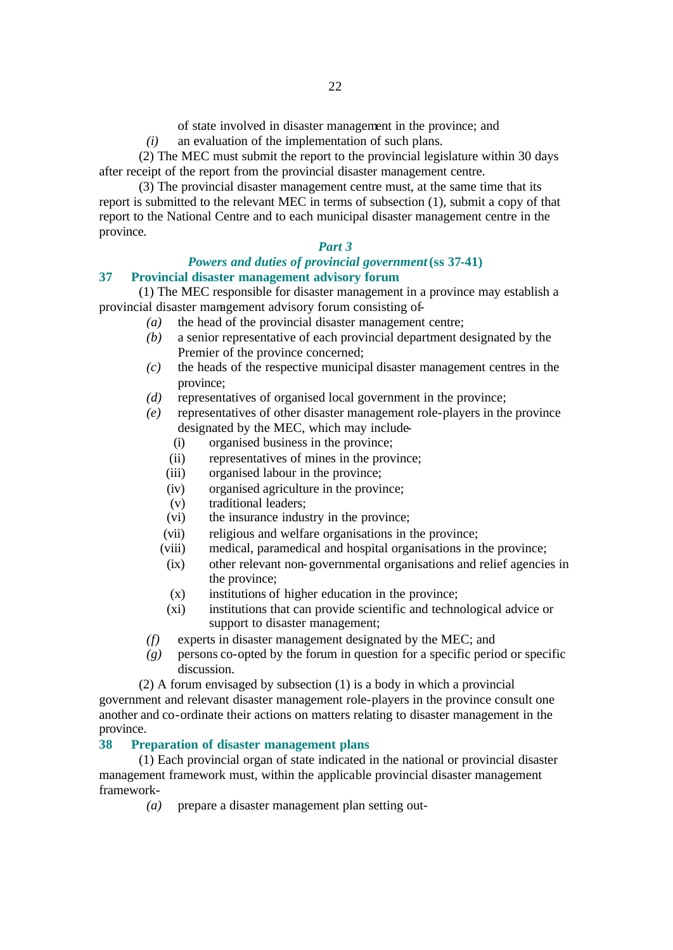of state involved in disaster management in the province; and

*(i)* an evaluation of the implementation of such plans.

(2) The MEC must submit the report to the provincial legislature within 30 days after receipt of the report from the provincial disaster management centre.

(3) The provincial disaster management centre must, at the same time that its report is submitted to the relevant MEC in terms of subsection (1), submit a copy of that report to the National Centre and to each municipal disaster management centre in the province.

#### *Part 3*

#### *Powers and duties of provincial government* **(ss 37-41) 37 Provincial disaster management advisory forum**

(1) The MEC responsible for disaster management in a province may establish a provincial disaster management advisory forum consisting of-

- *(a)* the head of the provincial disaster management centre;
- *(b)* a senior representative of each provincial department designated by the Premier of the province concerned:
- *(c)* the heads of the respective municipal disaster management centres in the province;
- *(d)* representatives of organised local government in the province;
- *(e)* representatives of other disaster management role-players in the province designated by the MEC, which may include-
	- (i) organised business in the province;
	- (ii) representatives of mines in the province;
	- (iii) organised labour in the province;
	- (iv) organised agriculture in the province;
	- (v) traditional leaders;
	- (vi) the insurance industry in the province;
	- (vii) religious and welfare organisations in the province;
	- (viii) medical, paramedical and hospital organisations in the province;
	- (ix) other relevant non-governmental organisations and relief agencies in the province;
	- (x) institutions of higher education in the province;
	- (xi) institutions that can provide scientific and technological advice or support to disaster management;
- *(f)* experts in disaster management designated by the MEC; and
- *(g)* persons co-opted by the forum in question for a specific period or specific discussion.

(2) A forum envisaged by subsection (1) is a body in which a provincial government and relevant disaster management role-players in the province consult one another and co-ordinate their actions on matters relating to disaster management in the province.

#### **38 Preparation of disaster management plans**

(1) Each provincial organ of state indicated in the national or provincial disaster management framework must, within the applicable provincial disaster management framework-

*(a)* prepare a disaster management plan setting out-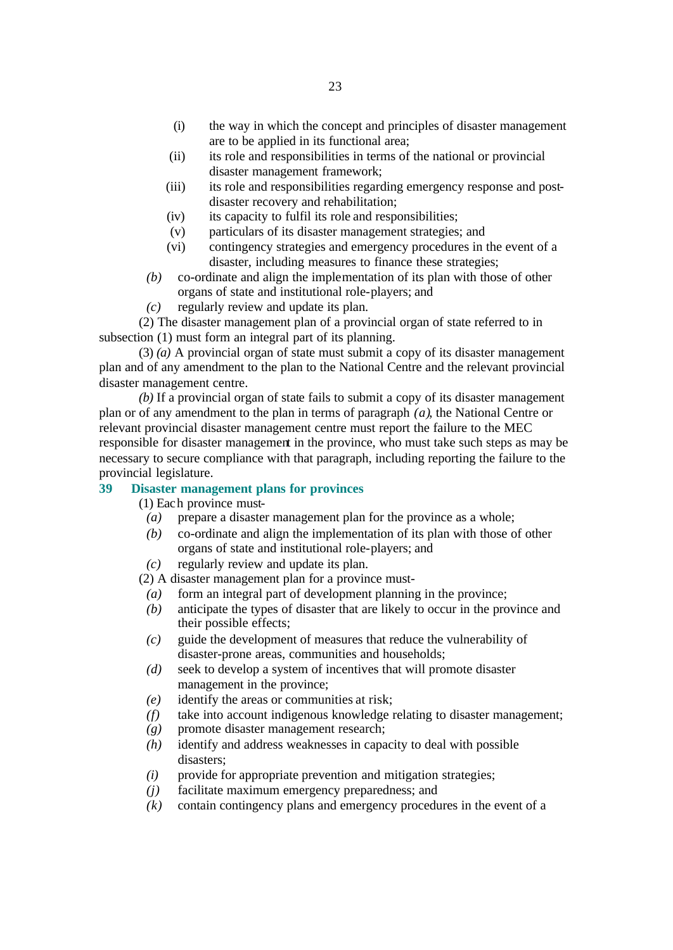- (i) the way in which the concept and principles of disaster management are to be applied in its functional area;
- (ii) its role and responsibilities in terms of the national or provincial disaster management framework;
- (iii) its role and responsibilities regarding emergency response and postdisaster recovery and rehabilitation;
- (iv) its capacity to fulfil its role and responsibilities;
- (v) particulars of its disaster management strategies; and
- (vi) contingency strategies and emergency procedures in the event of a disaster, including measures to finance these strategies;
- *(b)* co-ordinate and align the implementation of its plan with those of other organs of state and institutional role-players; and
- *(c)* regularly review and update its plan.

(2) The disaster management plan of a provincial organ of state referred to in subsection (1) must form an integral part of its planning.

(3) *(a)* A provincial organ of state must submit a copy of its disaster management plan and of any amendment to the plan to the National Centre and the relevant provincial disaster management centre.

*(b)* If a provincial organ of state fails to submit a copy of its disaster management plan or of any amendment to the plan in terms of paragraph *(a)*, the National Centre or relevant provincial disaster management centre must report the failure to the MEC responsible for disaster management in the province, who must take such steps as may be necessary to secure compliance with that paragraph, including reporting the failure to the provincial legislature.

# **39 Disaster management plans for provinces**

(1) Each province must-

- *(a)* prepare a disaster management plan for the province as a whole;
- *(b)* co-ordinate and align the implementation of its plan with those of other organs of state and institutional role-players; and
- *(c)* regularly review and update its plan.

(2) A disaster management plan for a province must-

- *(a)* form an integral part of development planning in the province;
- *(b)* anticipate the types of disaster that are likely to occur in the province and their possible effects;
- *(c)* guide the development of measures that reduce the vulnerability of disaster-prone areas, communities and households;
- *(d)* seek to develop a system of incentives that will promote disaster management in the province;
- *(e)* identify the areas or communities at risk;
- *(f)* take into account indigenous knowledge relating to disaster management;
- *(g)* promote disaster management research;
- *(h)* identify and address weaknesses in capacity to deal with possible disasters;
- *(i)* provide for appropriate prevention and mitigation strategies;
- *(j)* facilitate maximum emergency preparedness; and
- *(k)* contain contingency plans and emergency procedures in the event of a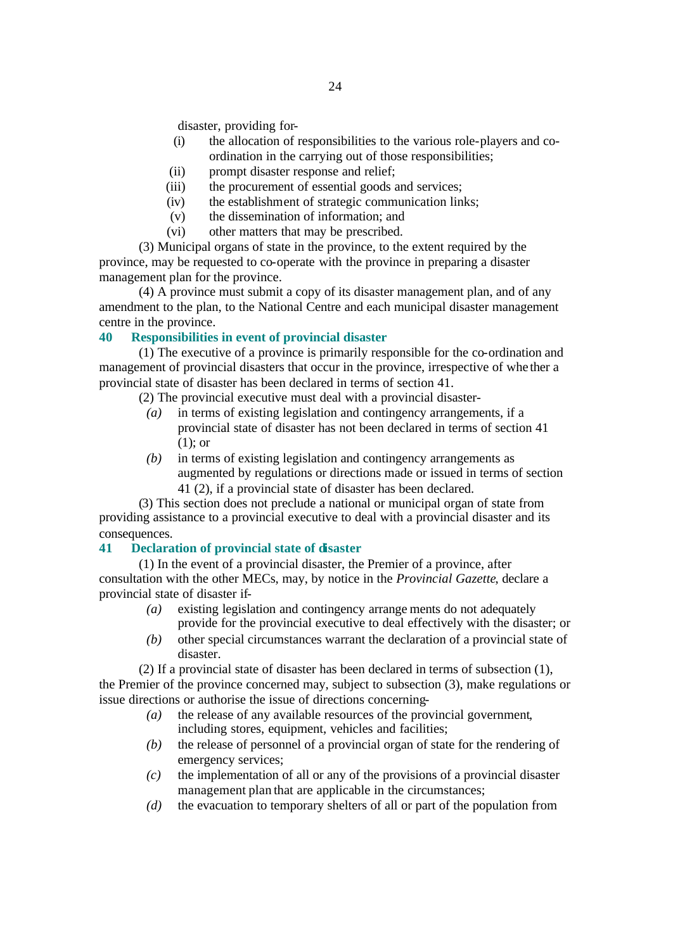disaster, providing for-

- (i) the allocation of responsibilities to the various role-players and coordination in the carrying out of those responsibilities;
- (ii) prompt disaster response and relief;
- (iii) the procurement of essential goods and services;
- (iv) the establishment of strategic communication links;
- (v) the dissemination of information; and
- (vi) other matters that may be prescribed.

(3) Municipal organs of state in the province, to the extent required by the province, may be requested to co-operate with the province in preparing a disaster management plan for the province.

(4) A province must submit a copy of its disaster management plan, and of any amendment to the plan, to the National Centre and each municipal disaster management centre in the province.

#### **40 Responsibilities in event of provincial disaster**

(1) The executive of a province is primarily responsible for the co-ordination and management of provincial disasters that occur in the province, irrespective of whe ther a provincial state of disaster has been declared in terms of section 41.

(2) The provincial executive must deal with a provincial disaster-

- *(a)* in terms of existing legislation and contingency arrangements, if a provincial state of disaster has not been declared in terms of section 41 (1); or
- *(b)* in terms of existing legislation and contingency arrangements as augmented by regulations or directions made or issued in terms of section 41 (2), if a provincial state of disaster has been declared.

(3) This section does not preclude a national or municipal organ of state from providing assistance to a provincial executive to deal with a provincial disaster and its consequences.

# **41 Declaration of provincial state of disaster**

(1) In the event of a provincial disaster, the Premier of a province, after consultation with the other MECs, may, by notice in the *Provincial Gazette*, declare a provincial state of disaster if-

- *(a)* existing legislation and contingency arrange ments do not adequately provide for the provincial executive to deal effectively with the disaster; or
- *(b)* other special circumstances warrant the declaration of a provincial state of disaster.

(2) If a provincial state of disaster has been declared in terms of subsection (1), the Premier of the province concerned may, subject to subsection (3), make regulations or issue directions or authorise the issue of directions concerning-

- *(a)* the release of any available resources of the provincial government, including stores, equipment, vehicles and facilities;
- *(b)* the release of personnel of a provincial organ of state for the rendering of emergency services;
- *(c)* the implementation of all or any of the provisions of a provincial disaster management plan that are applicable in the circumstances;
- *(d)* the evacuation to temporary shelters of all or part of the population from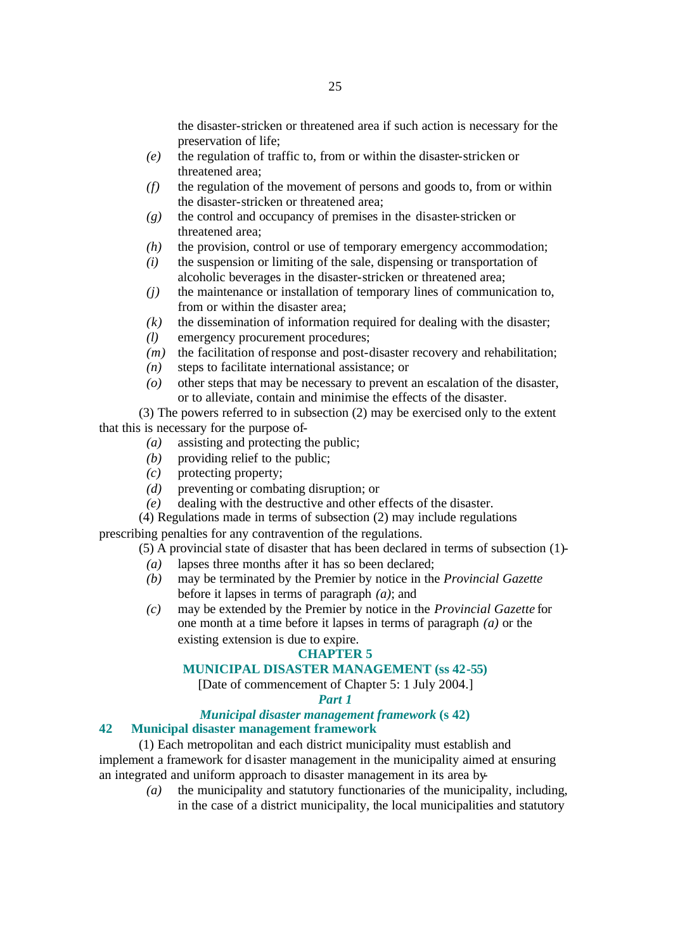the disaster-stricken or threatened area if such action is necessary for the preservation of life;

- *(e)* the regulation of traffic to, from or within the disaster-stricken or threatened area;
- *(f)* the regulation of the movement of persons and goods to, from or within the disaster-stricken or threatened area;
- *(g)* the control and occupancy of premises in the disaster-stricken or threatened area;
- *(h)* the provision, control or use of temporary emergency accommodation;
- *(i)* the suspension or limiting of the sale, dispensing or transportation of alcoholic beverages in the disaster-stricken or threatened area;
- *(j)* the maintenance or installation of temporary lines of communication to, from or within the disaster area;
- *(k)* the dissemination of information required for dealing with the disaster;
- *(l)* emergency procurement procedures;
- *(m)* the facilitation of response and post-disaster recovery and rehabilitation;
- *(n)* steps to facilitate international assistance; or
- *(o)* other steps that may be necessary to prevent an escalation of the disaster, or to alleviate, contain and minimise the effects of the disaster.

(3) The powers referred to in subsection (2) may be exercised only to the extent that this is necessary for the purpose of-

- *(a)* assisting and protecting the public;
- *(b)* providing relief to the public;
- *(c)* protecting property;
- *(d)* preventing or combating disruption; or
- *(e)* dealing with the destructive and other effects of the disaster.
- (4) Regulations made in terms of subsection (2) may include regulations

prescribing penalties for any contravention of the regulations.

(5) A provincial state of disaster that has been declared in terms of subsection (1)-

- *(a)* lapses three months after it has so been declared;
- *(b)* may be terminated by the Premier by notice in the *Provincial Gazette* before it lapses in terms of paragraph *(a)*; and
- *(c)* may be extended by the Premier by notice in the *Provincial Gazette* for one month at a time before it lapses in terms of paragraph *(a)* or the existing extension is due to expire.

#### **CHAPTER 5**

#### **MUNICIPAL DISASTER MANAGEMENT (ss 42-55)**

[Date of commencement of Chapter 5: 1 July 2004.]

#### *Part 1*

#### *Municipal disaster management framework* **(s 42)**

#### **42 Municipal disaster management framework**

(1) Each metropolitan and each district municipality must establish and implement a framework for disaster management in the municipality aimed at ensuring an integrated and uniform approach to disaster management in its area by-

*(a)* the municipality and statutory functionaries of the municipality, including, in the case of a district municipality, the local municipalities and statutory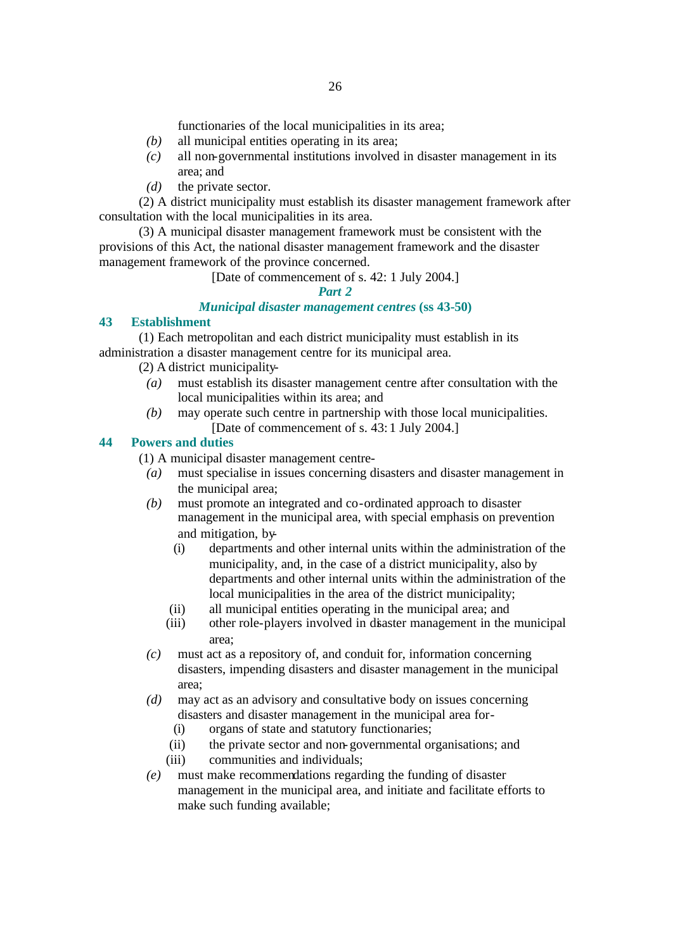functionaries of the local municipalities in its area;

- *(b)* all municipal entities operating in its area;
- *(c)* all non-governmental institutions involved in disaster management in its area; and
- *(d)* the private sector.

(2) A district municipality must establish its disaster management framework after consultation with the local municipalities in its area.

(3) A municipal disaster management framework must be consistent with the provisions of this Act, the national disaster management framework and the disaster management framework of the province concerned.

# [Date of commencement of s. 42: 1 July 2004.]

# *Part 2*

# *Municipal disaster management centres* **(ss 43-50)**

#### **43 Establishment**

(1) Each metropolitan and each district municipality must establish in its administration a disaster management centre for its municipal area.

- (2) A district municipality-
	- *(a)* must establish its disaster management centre after consultation with the local municipalities within its area; and
	- *(b)* may operate such centre in partnership with those local municipalities. [Date of commencement of s. 43: 1 July 2004.]

# **44 Powers and duties**

(1) A municipal disaster management centre-

- *(a)* must specialise in issues concerning disasters and disaster management in the municipal area;
- *(b)* must promote an integrated and co-ordinated approach to disaster management in the municipal area, with special emphasis on prevention and mitigation, by-
	- (i) departments and other internal units within the administration of the municipality, and, in the case of a district municipality, also by departments and other internal units within the administration of the local municipalities in the area of the district municipality;
	- (ii) all municipal entities operating in the municipal area; and
	- (iii) other role-players involved in disaster management in the municipal area;
- *(c)* must act as a repository of, and conduit for, information concerning disasters, impending disasters and disaster management in the municipal area;
- *(d)* may act as an advisory and consultative body on issues concerning disasters and disaster management in the municipal area for-
	- (i) organs of state and statutory functionaries;
	- (ii) the private sector and non-governmental organisations; and
	- (iii) communities and individuals;
- *(e)* must make recommendations regarding the funding of disaster management in the municipal area, and initiate and facilitate efforts to make such funding available;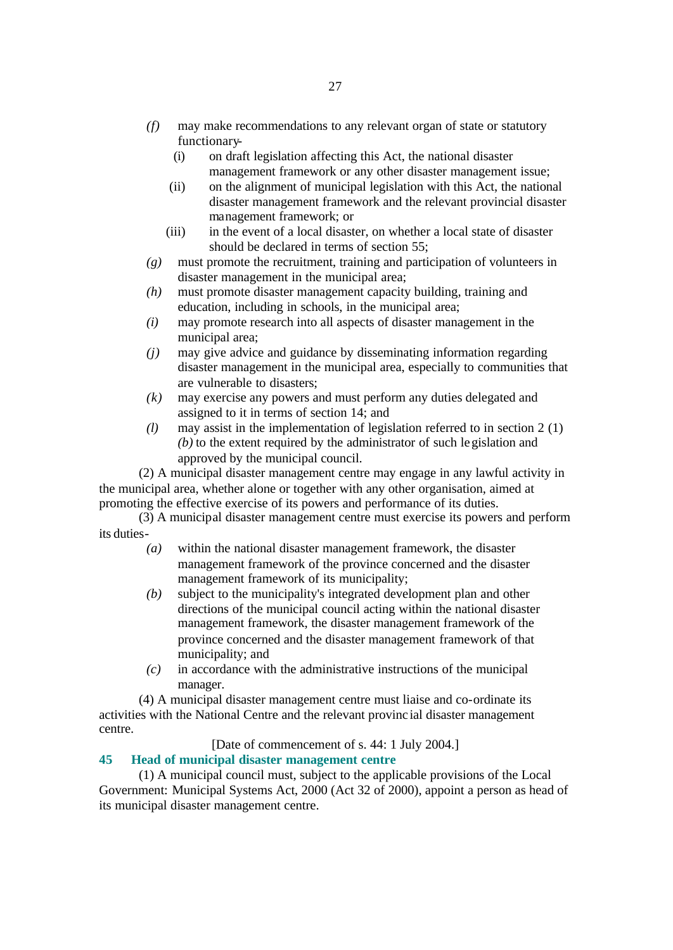- *(f)* may make recommendations to any relevant organ of state or statutory functionary-
	- (i) on draft legislation affecting this Act, the national disaster management framework or any other disaster management issue;
	- (ii) on the alignment of municipal legislation with this Act, the national disaster management framework and the relevant provincial disaster management framework; or
	- (iii) in the event of a local disaster, on whether a local state of disaster should be declared in terms of section 55;
- *(g)* must promote the recruitment, training and participation of volunteers in disaster management in the municipal area;
- *(h)* must promote disaster management capacity building, training and education, including in schools, in the municipal area;
- *(i)* may promote research into all aspects of disaster management in the municipal area;
- *(j)* may give advice and guidance by disseminating information regarding disaster management in the municipal area, especially to communities that are vulnerable to disasters;
- *(k)* may exercise any powers and must perform any duties delegated and assigned to it in terms of section 14; and
- *(l)* may assist in the implementation of legislation referred to in section 2 (1) *(b)* to the extent required by the administrator of such legislation and approved by the municipal council.

(2) A municipal disaster management centre may engage in any lawful activity in the municipal area, whether alone or together with any other organisation, aimed at promoting the effective exercise of its powers and performance of its duties.

(3) A municipal disaster management centre must exercise its powers and perform its duties-

- *(a)* within the national disaster management framework, the disaster management framework of the province concerned and the disaster management framework of its municipality;
- *(b)* subject to the municipality's integrated development plan and other directions of the municipal council acting within the national disaster management framework, the disaster management framework of the province concerned and the disaster management framework of that municipality; and
- *(c)* in accordance with the administrative instructions of the municipal manager.

(4) A municipal disaster management centre must liaise and co-ordinate its activities with the National Centre and the relevant provinc ial disaster management centre.

[Date of commencement of s. 44: 1 July 2004.]

# **45 Head of municipal disaster management centre**

(1) A municipal council must, subject to the applicable provisions of the Local Government: Municipal Systems Act, 2000 (Act 32 of 2000), appoint a person as head of its municipal disaster management centre.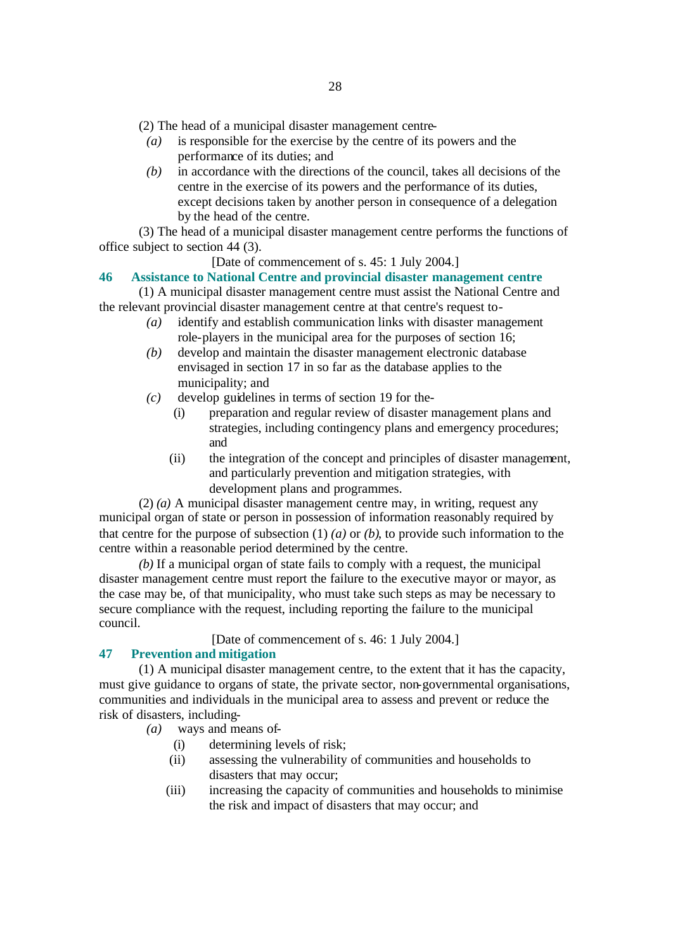(2) The head of a municipal disaster management centre-

- *(a)* is responsible for the exercise by the centre of its powers and the performance of its duties; and
- *(b)* in accordance with the directions of the council, takes all decisions of the centre in the exercise of its powers and the performance of its duties, except decisions taken by another person in consequence of a delegation by the head of the centre.

(3) The head of a municipal disaster management centre performs the functions of office subject to section 44 (3).

[Date of commencement of s. 45: 1 July 2004.]

#### **46 Assistance to National Centre and provincial disaster management centre**

(1) A municipal disaster management centre must assist the National Centre and the relevant provincial disaster management centre at that centre's request to-

- *(a)* identify and establish communication links with disaster management role-players in the municipal area for the purposes of section 16;
- *(b)* develop and maintain the disaster management electronic database envisaged in section 17 in so far as the database applies to the municipality; and
- *(c)* develop guidelines in terms of section 19 for the-
	- (i) preparation and regular review of disaster management plans and strategies, including contingency plans and emergency procedures; and
	- (ii) the integration of the concept and principles of disaster management, and particularly prevention and mitigation strategies, with development plans and programmes.

(2) *(a)* A municipal disaster management centre may, in writing, request any municipal organ of state or person in possession of information reasonably required by that centre for the purpose of subsection (1) *(a)* or *(b)*, to provide such information to the centre within a reasonable period determined by the centre.

*(b)* If a municipal organ of state fails to comply with a request, the municipal disaster management centre must report the failure to the executive mayor or mayor, as the case may be, of that municipality, who must take such steps as may be necessary to secure compliance with the request, including reporting the failure to the municipal council.

[Date of commencement of s. 46: 1 July 2004.]

#### **47 Prevention and mitigation**

(1) A municipal disaster management centre, to the extent that it has the capacity, must give guidance to organs of state, the private sector, non-governmental organisations, communities and individuals in the municipal area to assess and prevent or reduce the risk of disasters, including-

*(a)* ways and means of-

- (i) determining levels of risk;
- (ii) assessing the vulnerability of communities and households to disasters that may occur;
- (iii) increasing the capacity of communities and households to minimise the risk and impact of disasters that may occur; and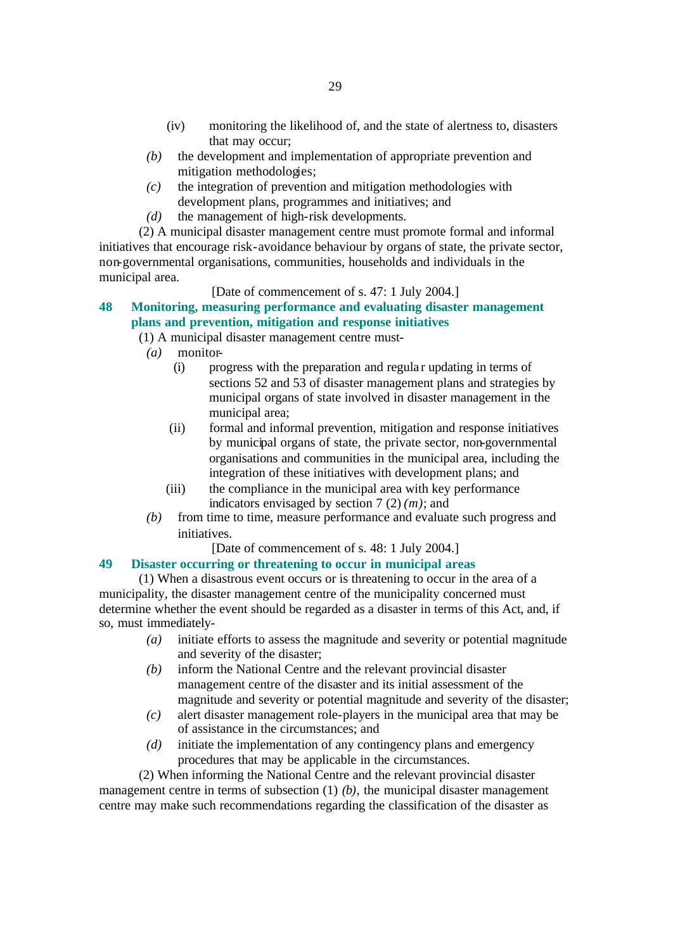- (iv) monitoring the likelihood of, and the state of alertness to, disasters that may occur;
- *(b)* the development and implementation of appropriate prevention and mitigation methodologies;
- *(c)* the integration of prevention and mitigation methodologies with development plans, programmes and initiatives; and
- *(d)* the management of high-risk developments.

(2) A municipal disaster management centre must promote formal and informal initiatives that encourage risk-avoidance behaviour by organs of state, the private sector, non-governmental organisations, communities, households and individuals in the municipal area.

#### [Date of commencement of s. 47: 1 July 2004.]

# **48 Monitoring, measuring performance and evaluating disaster management plans and prevention, mitigation and response initiatives**

#### (1) A municipal disaster management centre must-

- *(a)* monitor-
	- (i) progress with the preparation and regula r updating in terms of sections 52 and 53 of disaster management plans and strategies by municipal organs of state involved in disaster management in the municipal area;
	- (ii) formal and informal prevention, mitigation and response initiatives by municipal organs of state, the private sector, non-governmental organisations and communities in the municipal area, including the integration of these initiatives with development plans; and
	- (iii) the compliance in the municipal area with key performance indicators envisaged by section 7 (2) *(m)*; and
- *(b)* from time to time, measure performance and evaluate such progress and initiatives.

[Date of commencement of s. 48: 1 July 2004.]

# **49 Disaster occurring or threatening to occur in municipal areas**

(1) When a disastrous event occurs or is threatening to occur in the area of a municipality, the disaster management centre of the municipality concerned must determine whether the event should be regarded as a disaster in terms of this Act, and, if so, must immediately-

- *(a)* initiate efforts to assess the magnitude and severity or potential magnitude and severity of the disaster;
- *(b)* inform the National Centre and the relevant provincial disaster management centre of the disaster and its initial assessment of the magnitude and severity or potential magnitude and severity of the disaster;
- *(c)* alert disaster management role-players in the municipal area that may be of assistance in the circumstances; and
- *(d)* initiate the implementation of any contingency plans and emergency procedures that may be applicable in the circumstances.

(2) When informing the National Centre and the relevant provincial disaster management centre in terms of subsection (1) *(b)*, the municipal disaster management centre may make such recommendations regarding the classification of the disaster as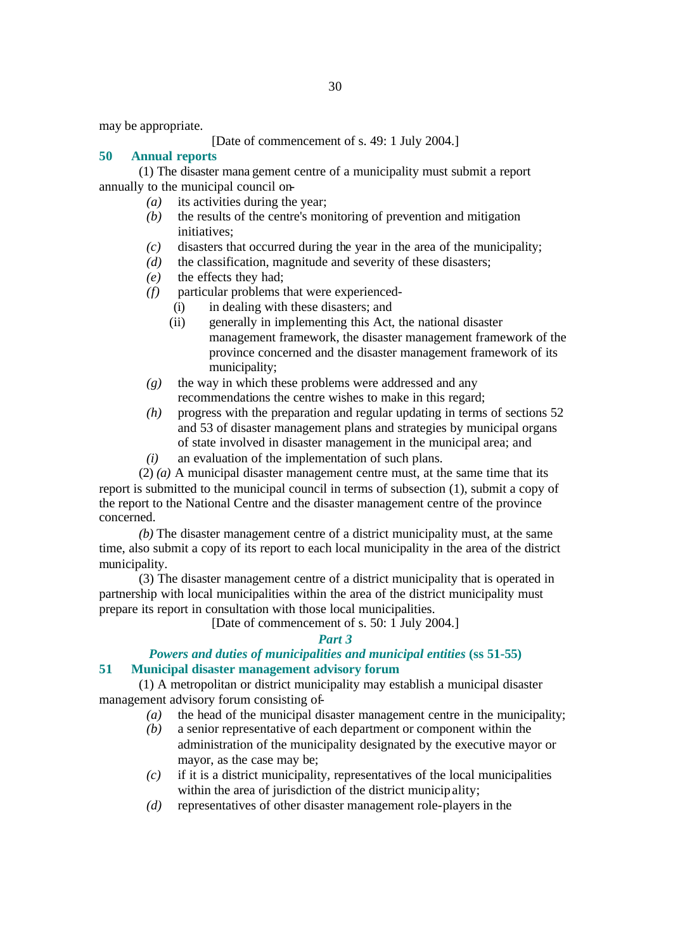may be appropriate.

#### [Date of commencement of s. 49: 1 July 2004.]

#### **50 Annual reports**

(1) The disaster mana gement centre of a municipality must submit a report annually to the municipal council on-

- *(a)* its activities during the year;
- *(b)* the results of the centre's monitoring of prevention and mitigation initiatives:
- *(c)* disasters that occurred during the year in the area of the municipality;
- *(d)* the classification, magnitude and severity of these disasters;
- *(e)* the effects they had;
- *(f)* particular problems that were experienced-
	- (i) in dealing with these disasters; and
	- (ii) generally in implementing this Act, the national disaster management framework, the disaster management framework of the province concerned and the disaster management framework of its municipality;
- *(g)* the way in which these problems were addressed and any recommendations the centre wishes to make in this regard;
- *(h)* progress with the preparation and regular updating in terms of sections 52 and 53 of disaster management plans and strategies by municipal organs of state involved in disaster management in the municipal area; and
- *(i)* an evaluation of the implementation of such plans.

(2) *(a)* A municipal disaster management centre must, at the same time that its report is submitted to the municipal council in terms of subsection (1), submit a copy of the report to the National Centre and the disaster management centre of the province concerned.

*(b)* The disaster management centre of a district municipality must, at the same time, also submit a copy of its report to each local municipality in the area of the district municipality.

(3) The disaster management centre of a district municipality that is operated in partnership with local municipalities within the area of the district municipality must prepare its report in consultation with those local municipalities.

[Date of commencement of s. 50: 1 July 2004.]

#### *Part 3*

#### *Powers and duties of municipalities and municipal entities* **(ss 51-55) 51 Municipal disaster management advisory forum**

(1) A metropolitan or district municipality may establish a municipal disaster management advisory forum consisting of-

- *(a)* the head of the municipal disaster management centre in the municipality;
- *(b)* a senior representative of each department or component within the administration of the municipality designated by the executive mayor or mayor, as the case may be;
- *(c)* if it is a district municipality, representatives of the local municipalities within the area of jurisdiction of the district municipality;
- *(d)* representatives of other disaster management role-players in the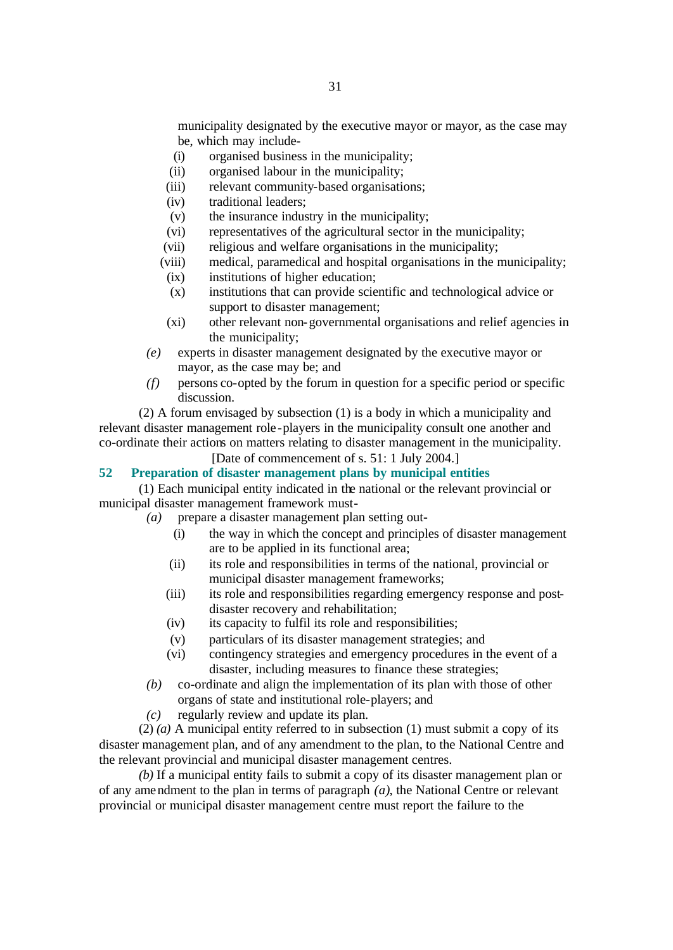municipality designated by the executive mayor or mayor, as the case may be, which may include-

- (i) organised business in the municipality;
- (ii) organised labour in the municipality;
- (iii) relevant community-based organisations;
- (iv) traditional leaders;
- (v) the insurance industry in the municipality;
- (vi) representatives of the agricultural sector in the municipality;
- (vii) religious and welfare organisations in the municipality;
- (viii) medical, paramedical and hospital organisations in the municipality;
- (ix) institutions of higher education;
- (x) institutions that can provide scientific and technological advice or support to disaster management;
- (xi) other relevant non-governmental organisations and relief agencies in the municipality;
- *(e)* experts in disaster management designated by the executive mayor or mayor, as the case may be; and
- *(f)* persons co-opted by the forum in question for a specific period or specific discussion.

(2) A forum envisaged by subsection (1) is a body in which a municipality and relevant disaster management role -players in the municipality consult one another and co-ordinate their actions on matters relating to disaster management in the municipality.

[Date of commencement of s. 51: 1 July 2004.]

#### **52 Preparation of disaster management plans by municipal entities**

(1) Each municipal entity indicated in the national or the relevant provincial or municipal disaster management framework must-

- *(a)* prepare a disaster management plan setting out-
	- (i) the way in which the concept and principles of disaster management are to be applied in its functional area;
	- (ii) its role and responsibilities in terms of the national, provincial or municipal disaster management frameworks;
	- (iii) its role and responsibilities regarding emergency response and postdisaster recovery and rehabilitation;
	- (iv) its capacity to fulfil its role and responsibilities;
	- (v) particulars of its disaster management strategies; and
	- (vi) contingency strategies and emergency procedures in the event of a disaster, including measures to finance these strategies;
- *(b)* co-ordinate and align the implementation of its plan with those of other organs of state and institutional role-players; and
- *(c)* regularly review and update its plan.

(2) *(a)* A municipal entity referred to in subsection (1) must submit a copy of its disaster management plan, and of any amendment to the plan, to the National Centre and the relevant provincial and municipal disaster management centres.

*(b)* If a municipal entity fails to submit a copy of its disaster management plan or of any amendment to the plan in terms of paragraph *(a)*, the National Centre or relevant provincial or municipal disaster management centre must report the failure to the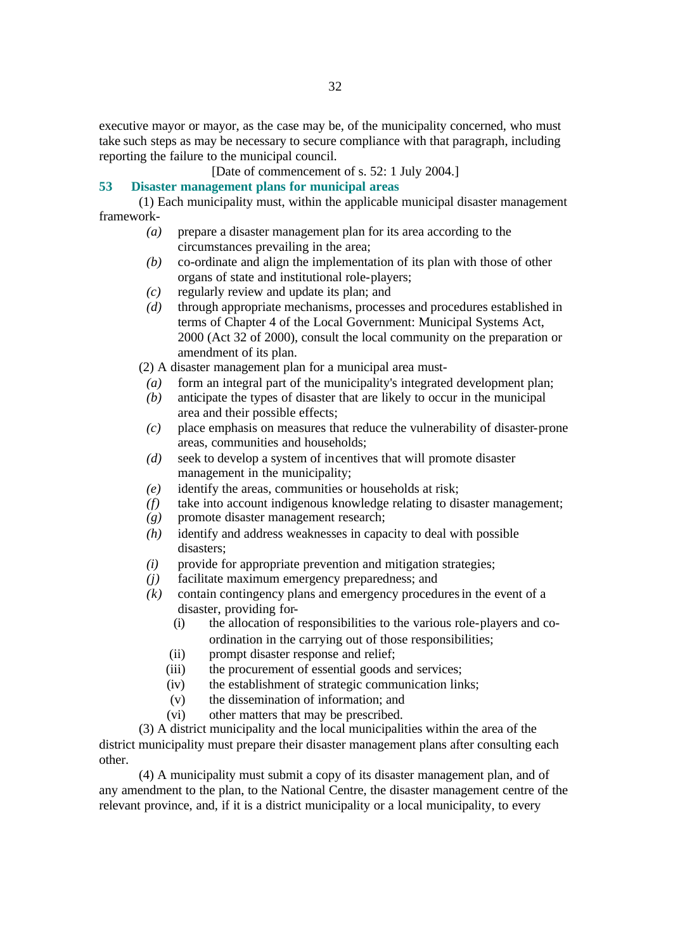executive mayor or mayor, as the case may be, of the municipality concerned, who must take such steps as may be necessary to secure compliance with that paragraph, including reporting the failure to the municipal council.

[Date of commencement of s. 52: 1 July 2004.]

#### **53 Disaster management plans for municipal areas**

(1) Each municipality must, within the applicable municipal disaster management framework-

- *(a)* prepare a disaster management plan for its area according to the circumstances prevailing in the area;
- *(b)* co-ordinate and align the implementation of its plan with those of other organs of state and institutional role-players;
- *(c)* regularly review and update its plan; and
- *(d)* through appropriate mechanisms, processes and procedures established in terms of Chapter 4 of the Local Government: Municipal Systems Act, 2000 (Act 32 of 2000), consult the local community on the preparation or amendment of its plan.

(2) A disaster management plan for a municipal area must-

- *(a)* form an integral part of the municipality's integrated development plan;
- *(b)* anticipate the types of disaster that are likely to occur in the municipal area and their possible effects;
- *(c)* place emphasis on measures that reduce the vulnerability of disaster-prone areas, communities and households;
- *(d)* seek to develop a system of incentives that will promote disaster management in the municipality;
- *(e)* identify the areas, communities or households at risk;
- *(f)* take into account indigenous knowledge relating to disaster management;
- *(g)* promote disaster management research;
- *(h)* identify and address weaknesses in capacity to deal with possible disasters;
- *(i)* provide for appropriate prevention and mitigation strategies;
- *(j)* facilitate maximum emergency preparedness; and
- *(k)* contain contingency plans and emergency procedures in the event of a disaster, providing for-
	- (i) the allocation of responsibilities to the various role-players and coordination in the carrying out of those responsibilities;
	- (ii) prompt disaster response and relief;
	- (iii) the procurement of essential goods and services;
	- (iv) the establishment of strategic communication links;
	- (v) the dissemination of information; and
	- (vi) other matters that may be prescribed.

(3) A district municipality and the local municipalities within the area of the district municipality must prepare their disaster management plans after consulting each other.

(4) A municipality must submit a copy of its disaster management plan, and of any amendment to the plan, to the National Centre, the disaster management centre of the relevant province, and, if it is a district municipality or a local municipality, to every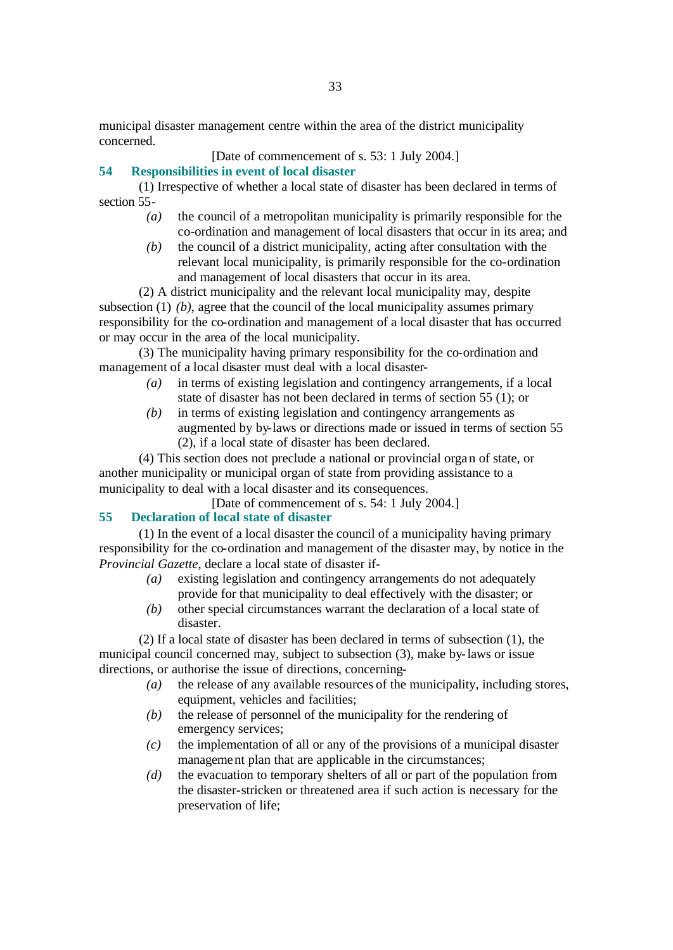municipal disaster management centre within the area of the district municipality concerned.

# [Date of commencement of s. 53: 1 July 2004.]

# **54 Responsibilities in event of local disaster**

(1) Irrespective of whether a local state of disaster has been declared in terms of section 55-

- *(a)* the council of a metropolitan municipality is primarily responsible for the co-ordination and management of local disasters that occur in its area; and
- *(b)* the council of a district municipality, acting after consultation with the relevant local municipality, is primarily responsible for the co-ordination and management of local disasters that occur in its area.

(2) A district municipality and the relevant local municipality may, despite subsection (1) (b), agree that the council of the local municipality assumes primary responsibility for the co-ordination and management of a local disaster that has occurred or may occur in the area of the local municipality.

(3) The municipality having primary responsibility for the co-ordination and management of a local disaster must deal with a local disaster-

- *(a)* in terms of existing legislation and contingency arrangements, if a local state of disaster has not been declared in terms of section 55 (1); or
- *(b)* in terms of existing legislation and contingency arrangements as augmented by by-laws or directions made or issued in terms of section 55 (2), if a local state of disaster has been declared.

(4) This section does not preclude a national or provincial organ of state, or another municipality or municipal organ of state from providing assistance to a municipality to deal with a local disaster and its consequences.

[Date of commencement of s. 54: 1 July 2004.]

# **55 Declaration of local state of disaster**

(1) In the event of a local disaster the council of a municipality having primary responsibility for the co-ordination and management of the disaster may, by notice in the *Provincial Gazette*, declare a local state of disaster if-

- *(a)* existing legislation and contingency arrangements do not adequately provide for that municipality to deal effectively with the disaster; or
- *(b)* other special circumstances warrant the declaration of a local state of disaster.

(2) If a local state of disaster has been declared in terms of subsection (1), the municipal council concerned may, subject to subsection (3), make by-laws or issue directions, or authorise the issue of directions, concerning-

- *(a)* the release of any available resources of the municipality, including stores, equipment, vehicles and facilities;
- *(b)* the release of personnel of the municipality for the rendering of emergency services;
- *(c)* the implementation of all or any of the provisions of a municipal disaster management plan that are applicable in the circumstances;
- *(d)* the evacuation to temporary shelters of all or part of the population from the disaster-stricken or threatened area if such action is necessary for the preservation of life;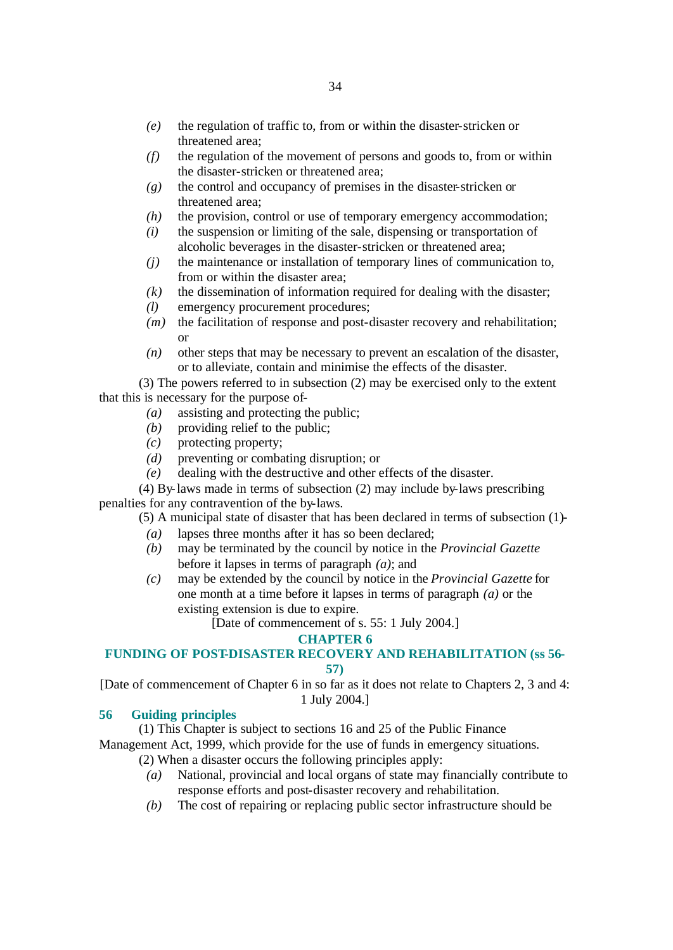- *(e)* the regulation of traffic to, from or within the disaster-stricken or threatened area;
- *(f)* the regulation of the movement of persons and goods to, from or within the disaster-stricken or threatened area;
- *(g)* the control and occupancy of premises in the disaster-stricken or threatened area;
- *(h)* the provision, control or use of temporary emergency accommodation;
- *(i)* the suspension or limiting of the sale, dispensing or transportation of alcoholic beverages in the disaster-stricken or threatened area;
- *(j)* the maintenance or installation of temporary lines of communication to, from or within the disaster area;
- *(k)* the dissemination of information required for dealing with the disaster;
- *(l)* emergency procurement procedures;
- *(m)* the facilitation of response and post-disaster recovery and rehabilitation; or
- *(n)* other steps that may be necessary to prevent an escalation of the disaster, or to alleviate, contain and minimise the effects of the disaster.

(3) The powers referred to in subsection (2) may be exercised only to the extent that this is necessary for the purpose of-

- *(a)* assisting and protecting the public;
- *(b)* providing relief to the public;
- *(c)* protecting property;
- *(d)* preventing or combating disruption; or
- *(e)* dealing with the destructive and other effects of the disaster.

(4) By-laws made in terms of subsection (2) may include by-laws prescribing penalties for any contravention of the by-laws.

(5) A municipal state of disaster that has been declared in terms of subsection (1)-

- *(a)* lapses three months after it has so been declared;
- *(b)* may be terminated by the council by notice in the *Provincial Gazette* before it lapses in terms of paragraph *(a)*; and
- *(c)* may be extended by the council by notice in the *Provincial Gazette* for one month at a time before it lapses in terms of paragraph *(a)* or the existing extension is due to expire.

[Date of commencement of s. 55: 1 July 2004.]

#### **CHAPTER 6**

#### **FUNDING OF POST-DISASTER RECOVERY AND REHABILITATION (ss 56- 57)**

[Date of commencement of Chapter 6 in so far as it does not relate to Chapters 2, 3 and 4: 1 July 2004.]

## **56 Guiding principles**

(1) This Chapter is subject to sections 16 and 25 of the Public Finance

Management Act, 1999, which provide for the use of funds in emergency situations.

- (2) When a disaster occurs the following principles apply:
	- *(a)* National, provincial and local organs of state may financially contribute to response efforts and post-disaster recovery and rehabilitation.
	- *(b)* The cost of repairing or replacing public sector infrastructure should be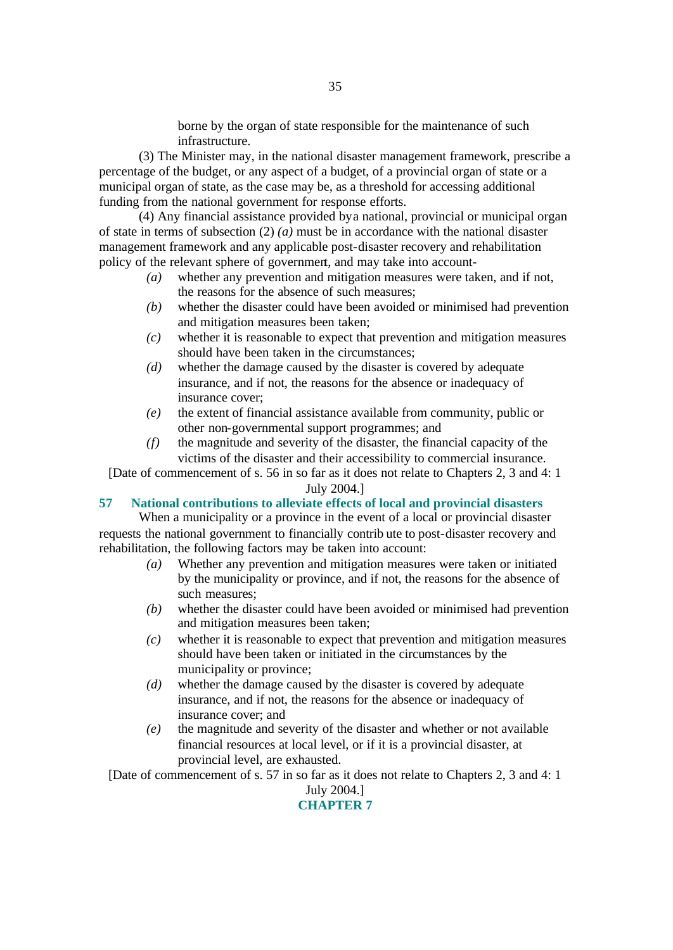borne by the organ of state responsible for the maintenance of such infrastructure.

(3) The Minister may, in the national disaster management framework, prescribe a percentage of the budget, or any aspect of a budget, of a provincial organ of state or a municipal organ of state, as the case may be, as a threshold for accessing additional funding from the national government for response efforts.

(4) Any financial assistance provided by a national, provincial or municipal organ of state in terms of subsection  $(2)$  *(a)* must be in accordance with the national disaster management framework and any applicable post-disaster recovery and rehabilitation policy of the relevant sphere of government, and may take into account-

- *(a)* whether any prevention and mitigation measures were taken, and if not, the reasons for the absence of such measures;
- *(b)* whether the disaster could have been avoided or minimised had prevention and mitigation measures been taken;
- *(c)* whether it is reasonable to expect that prevention and mitigation measures should have been taken in the circumstances;
- *(d)* whether the damage caused by the disaster is covered by adequate insurance, and if not, the reasons for the absence or inadequacy of insurance cover;
- *(e)* the extent of financial assistance available from community, public or other non-governmental support programmes; and
- *(f)* the magnitude and severity of the disaster, the financial capacity of the victims of the disaster and their accessibility to commercial insurance.

[Date of commencement of s. 56 in so far as it does not relate to Chapters 2, 3 and 4: 1

# July 2004.]

#### **57 National contributions to alleviate effects of local and provincial disasters**

When a municipality or a province in the event of a local or provincial disaster requests the national government to financially contrib ute to post-disaster recovery and rehabilitation, the following factors may be taken into account:

- *(a)* Whether any prevention and mitigation measures were taken or initiated by the municipality or province, and if not, the reasons for the absence of such measures;
- *(b)* whether the disaster could have been avoided or minimised had prevention and mitigation measures been taken;
- *(c)* whether it is reasonable to expect that prevention and mitigation measures should have been taken or initiated in the circumstances by the municipality or province;
- *(d)* whether the damage caused by the disaster is covered by adequate insurance, and if not, the reasons for the absence or inadequacy of insurance cover; and
- *(e)* the magnitude and severity of the disaster and whether or not available financial resources at local level, or if it is a provincial disaster, at provincial level, are exhausted.

[Date of commencement of s. 57 in so far as it does not relate to Chapters 2, 3 and 4: 1 July 2004.]

# **CHAPTER 7**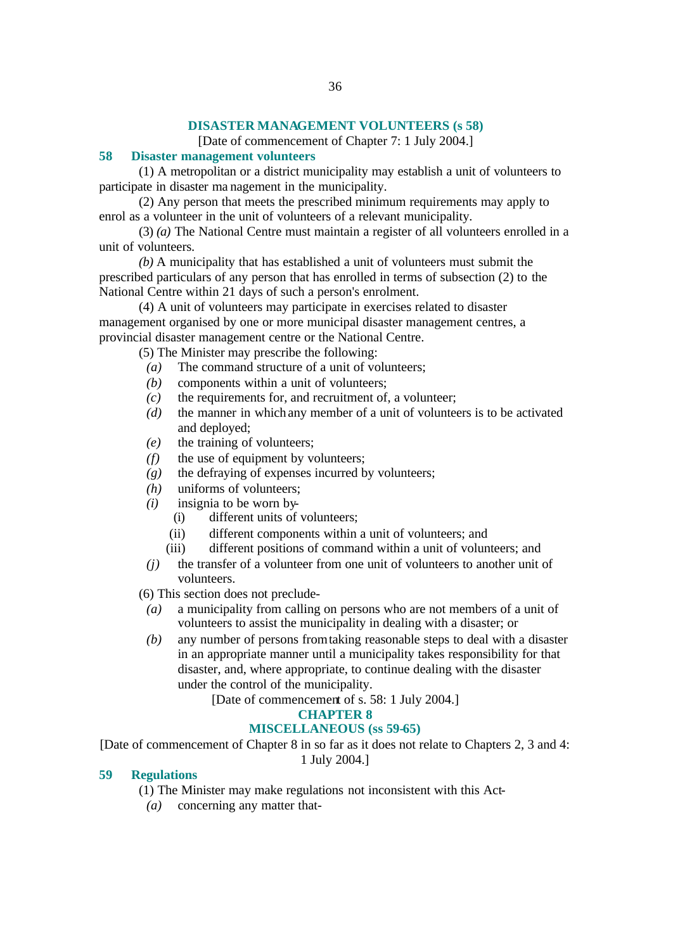#### **DISASTER MANAGEMENT VOLUNTEERS (s 58)**

[Date of commencement of Chapter 7: 1 July 2004.]

#### **58 Disaster management volunteers**

(1) A metropolitan or a district municipality may establish a unit of volunteers to participate in disaster ma nagement in the municipality.

(2) Any person that meets the prescribed minimum requirements may apply to enrol as a volunteer in the unit of volunteers of a relevant municipality.

(3) *(a)* The National Centre must maintain a register of all volunteers enrolled in a unit of volunteers.

*(b)* A municipality that has established a unit of volunteers must submit the prescribed particulars of any person that has enrolled in terms of subsection (2) to the National Centre within 21 days of such a person's enrolment.

(4) A unit of volunteers may participate in exercises related to disaster management organised by one or more municipal disaster management centres, a provincial disaster management centre or the National Centre.

(5) The Minister may prescribe the following:

- *(a)* The command structure of a unit of volunteers;
- *(b)* components within a unit of volunteers;
- *(c)* the requirements for, and recruitment of, a volunteer;
- *(d)* the manner in which any member of a unit of volunteers is to be activated and deployed;
- *(e)* the training of volunteers;
- *(f)* the use of equipment by volunteers;
- *(g)* the defraying of expenses incurred by volunteers;
- *(h)* uniforms of volunteers;
- *(i)* insignia to be worn by-
	- (i) different units of volunteers;
	- (ii) different components within a unit of volunteers; and
	- (iii) different positions of command within a unit of volunteers; and
- *(j)* the transfer of a volunteer from one unit of volunteers to another unit of volunteers.

(6) This section does not preclude-

- *(a)* a municipality from calling on persons who are not members of a unit of volunteers to assist the municipality in dealing with a disaster; or
- *(b)* any number of persons from taking reasonable steps to deal with a disaster in an appropriate manner until a municipality takes responsibility for that disaster, and, where appropriate, to continue dealing with the disaster under the control of the municipality.

[Date of commencement of s. 58: 1 July 2004.]

# **CHAPTER 8**

#### **MISCELLANEOUS (ss 59-65)**

[Date of commencement of Chapter 8 in so far as it does not relate to Chapters 2, 3 and 4: 1 July 2004.]

#### **59 Regulations**

- (1) The Minister may make regulations not inconsistent with this Act-
- *(a)* concerning any matter that-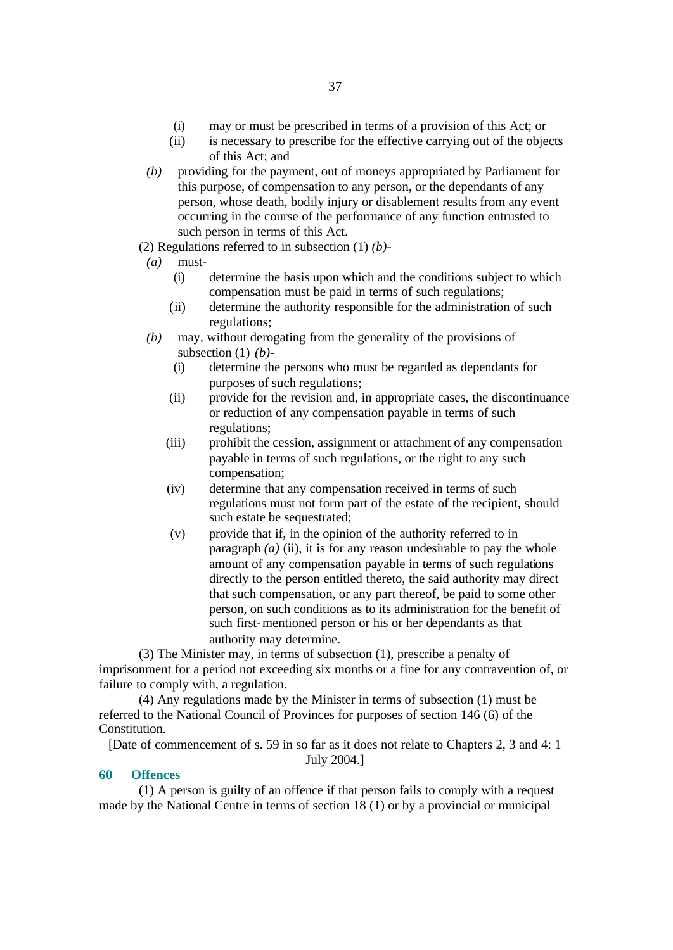- (i) may or must be prescribed in terms of a provision of this Act; or
- (ii) is necessary to prescribe for the effective carrying out of the objects of this Act; and
- *(b)* providing for the payment, out of moneys appropriated by Parliament for this purpose, of compensation to any person, or the dependants of any person, whose death, bodily injury or disablement results from any event occurring in the course of the performance of any function entrusted to such person in terms of this Act.
- (2) Regulations referred to in subsection (1) *(b)*-
- *(a)* must-
	- (i) determine the basis upon which and the conditions subject to which compensation must be paid in terms of such regulations;
	- (ii) determine the authority responsible for the administration of such regulations;
- *(b)* may, without derogating from the generality of the provisions of subsection (1) *(b)*-
	- (i) determine the persons who must be regarded as dependants for purposes of such regulations;
	- (ii) provide for the revision and, in appropriate cases, the discontinuance or reduction of any compensation payable in terms of such regulations;
	- (iii) prohibit the cession, assignment or attachment of any compensation payable in terms of such regulations, or the right to any such compensation;
	- (iv) determine that any compensation received in terms of such regulations must not form part of the estate of the recipient, should such estate be sequestrated;
	- (v) provide that if, in the opinion of the authority referred to in paragraph  $(a)$  (ii), it is for any reason undesirable to pay the whole amount of any compensation payable in terms of such regulations directly to the person entitled thereto, the said authority may direct that such compensation, or any part thereof, be paid to some other person, on such conditions as to its administration for the benefit of such first-mentioned person or his or her dependants as that authority may determine.

(3) The Minister may, in terms of subsection (1), prescribe a penalty of imprisonment for a period not exceeding six months or a fine for any contravention of, or failure to comply with, a regulation.

(4) Any regulations made by the Minister in terms of subsection (1) must be referred to the National Council of Provinces for purposes of section 146 (6) of the Constitution.

[Date of commencement of s. 59 in so far as it does not relate to Chapters 2, 3 and 4: 1 July 2004.]

#### **60 Offences**

(1) A person is guilty of an offence if that person fails to comply with a request made by the National Centre in terms of section 18 (1) or by a provincial or municipal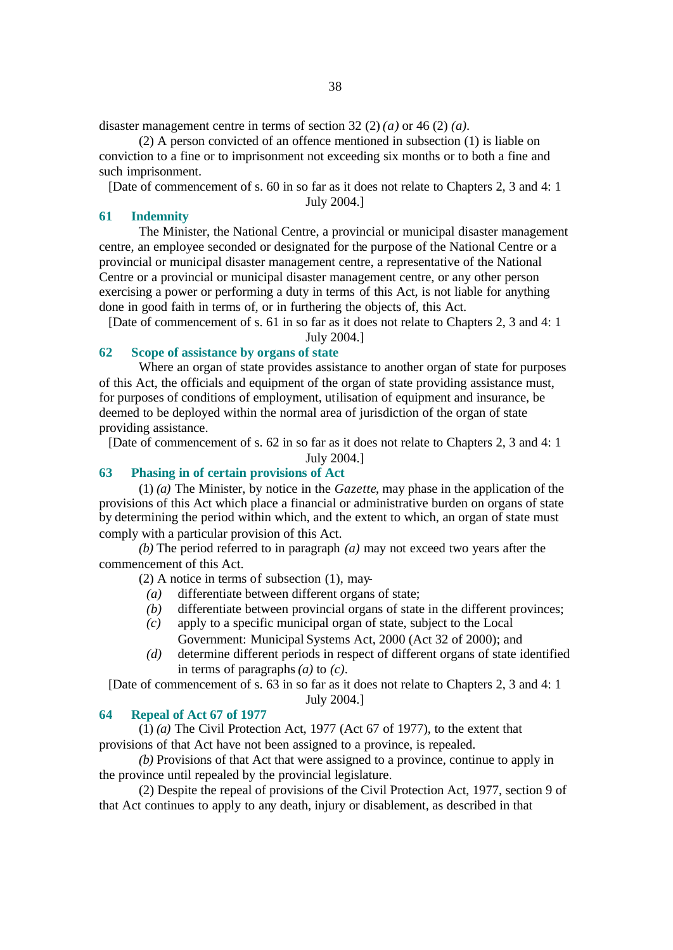disaster management centre in terms of section 32 (2) *(a)* or 46 (2) *(a)*.

(2) A person convicted of an offence mentioned in subsection (1) is liable on conviction to a fine or to imprisonment not exceeding six months or to both a fine and such imprisonment.

[Date of commencement of s. 60 in so far as it does not relate to Chapters 2, 3 and 4: 1 July 2004.]

#### **61 Indemnity**

The Minister, the National Centre, a provincial or municipal disaster management centre, an employee seconded or designated for the purpose of the National Centre or a provincial or municipal disaster management centre, a representative of the National Centre or a provincial or municipal disaster management centre, or any other person exercising a power or performing a duty in terms of this Act, is not liable for anything done in good faith in terms of, or in furthering the objects of, this Act.

[Date of commencement of s. 61 in so far as it does not relate to Chapters 2, 3 and 4: 1 July 2004.]

# **62 Scope of assistance by organs of state**

Where an organ of state provides assistance to another organ of state for purposes of this Act, the officials and equipment of the organ of state providing assistance must, for purposes of conditions of employment, utilisation of equipment and insurance, be deemed to be deployed within the normal area of jurisdiction of the organ of state providing assistance.

[Date of commencement of s. 62 in so far as it does not relate to Chapters 2, 3 and 4: 1

July 2004.]

# **63 Phasing in of certain provisions of Act**

(1) *(a)* The Minister, by notice in the *Gazette*, may phase in the application of the provisions of this Act which place a financial or administrative burden on organs of state by determining the period within which, and the extent to which, an organ of state must comply with a particular provision of this Act.

*(b)* The period referred to in paragraph *(a)* may not exceed two years after the commencement of this Act.

(2) A notice in terms of subsection (1), may-

- *(a)* differentiate between different organs of state;
- *(b)* differentiate between provincial organs of state in the different provinces;
- *(c)* apply to a specific municipal organ of state, subject to the Local
	- Government: Municipal Systems Act, 2000 (Act 32 of 2000); and
- *(d)* determine different periods in respect of different organs of state identified in terms of paragraphs *(a)* to *(c)*.

[Date of commencement of s. 63 in so far as it does not relate to Chapters 2, 3 and 4: 1 July 2004.]

# **64 Repeal of Act 67 of 1977**

(1) *(a)* The Civil Protection Act, 1977 (Act 67 of 1977), to the extent that provisions of that Act have not been assigned to a province, is repealed.

*(b)* Provisions of that Act that were assigned to a province, continue to apply in the province until repealed by the provincial legislature.

(2) Despite the repeal of provisions of the Civil Protection Act, 1977, section 9 of that Act continues to apply to any death, injury or disablement, as described in that